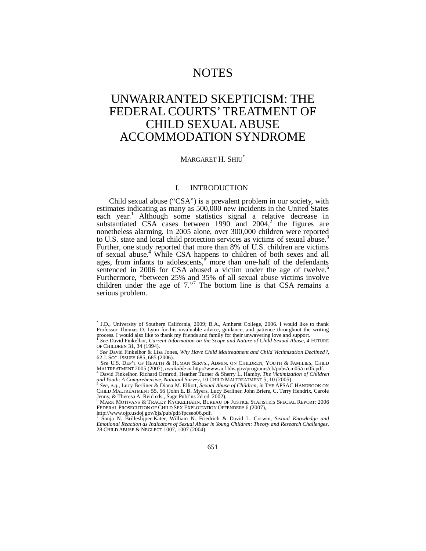# NOTES

# UNWARRANTED SKEPTICISM: THE FEDERAL COURTS' TREATMENT OF CHILD SEXUAL ABUSE ACCOMMODATION SYNDROME

# MARGARET H. SHIU\*

#### I. INTRODUCTION

Child sexual abuse ("CSA") is a prevalent problem in our society, with estimates indicating as many as 500,000 new incidents in the United States each year.<sup>1</sup> Although some statistics signal a relative decrease in substantiated CSA cases between  $1990$  and  $2004$ ,<sup>2</sup> the figures are nonetheless alarming. In 2005 alone, over 300,000 children were reported to U.S. state and local child protection services as victims of sexual abuse.<sup>3</sup> Further, one study reported that more than 8% of U.S. children are victims of sexual abuse.<sup>4</sup> While CSA happens to children of both sexes and all ages, from infants to adolescents, $\overline{s}$  more than one-half of the defendants sentenced in 2006 for CSA abused a victim under the age of twelve.<sup>6</sup> Furthermore, "between 25% and 35% of all sexual abuse victims involve children under the age of  $7.^{17}$ . The bottom line is that CSA remains a serious problem.

<sup>\*</sup> J.D., University of Southern California, 2009; B.A., Amherst College, 2006. I would like to thank Professor Thomas D. Lyon for his invaluable advice, guidance, and patience throughout the writing process. I would also like to thank my friends and family for their unwavering love and support.

<sup>1</sup> *See* David Finkelhor, *Current Information on the Scope and Nature of Child Sexual Abuse*, 4 FUTURE

<sup>&</sup>lt;sup>2</sup> See David Finkelhor & Lisa Jones, *Why Have Child Maltreatment and Child Victimization Declined?*, <br>62 J. SOC. ISSUES 685, 685 (2006).

<sup>62</sup> J. SOC. ISSUES 685, 685 (2006). 3 *See* U.S. DEP'T OF HEALTH & HUMAN SERVS., ADMIN. ON CHILDREN, YOUTH & FAMILIES, CHILD MALTREATMENT 2005 (2007), *available at http://www.acf.hhs.gov/programs/cb/pubs/cm05/cm05.pdf.* 4 David Einkelbor Bichard Ormanal Harthur T <sup>4</sup> David Finkelhor, Richard Ormrod, Heather Turner & Sherry L. Hamby, *The Victimization of Children*<br>*and Youth: A Comprehensive, National Survey*, 10 CHILD MALTREATMENT 5, 10 (2005).

*See, e.g.*, Lucy Berliner & Diana M. Elliott, *Sexual Abuse of Children*, *in* THE APSAC HANDBOOK ON CHILD MALTREATMENT 55, 56 (John E. B. Myers, Lucy Berliner, John Briere, C. Terry Hendrix, Carole Jenny, & Theresa A. Reid eds., Sage Publ'ns 2d ed. 2002).<br><sup>6</sup> MARK MOTIVANS & TRACEY KYCKELHAHN, BUREAU OF JUSTICE STATISTICS SPECIAL REPORT: 2006

FEDERAL PROSECUTION OF CHILD SEX EXPLOITATION OFFENDERS 6 (2007),

http://www.ojp.usdoj.gov/bjs/pub/pdf/fpcseo06.pdf.<br><sup>7</sup> Sonia N. Prilledijner Kater, William N. Friedri

Sonja N. Brilleslijper-Kater, William N. Friedrich & David L. Corwin, *Sexual Knowledge and Emotional Reaction as Indicators of Sexual Abuse in Young Children: Theory and Research Challenges*, 28 CHILD ABUSE & NEGLECT 1007, 1007 (2004).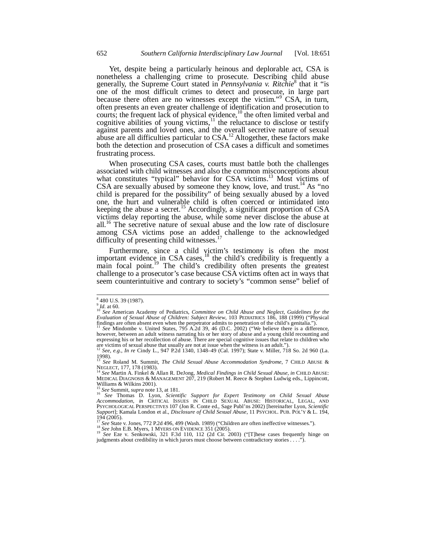Yet, despite being a particularly heinous and deplorable act, CSA is nonetheless a challenging crime to prosecute. Describing child abuse generally, the Supreme Court stated in *Pennsylvania v. Ritchie*<sup>8</sup> that it "is one of the most difficult crimes to detect and prosecute, in large part because there often are no witnesses except the victim."<sup>9</sup> CSA, in turn, often presents an even greater challenge of identification and prosecution to courts; the frequent lack of physical evidence,<sup>10</sup> the often limited verbal and cognitive abilities of young victims,<sup>11</sup> the reluctance to disclose or testify against parents and loved ones, and the overall secretive nature of sexual abuse are all difficulties particular to  $CSA$ .<sup>12</sup> Altogether, these factors make both the detection and prosecution of CSA cases a difficult and sometimes frustrating process.

When prosecuting CSA cases, courts must battle both the challenges associated with child witnesses and also the common misconceptions about what constitutes "typical" behavior for CSA victims.<sup>13</sup> Most victims of CSA are sexually abused by someone they know, love, and trust.<sup>14</sup> As "no child is prepared for the possibility" of being sexually abused by a loved one, the hurt and vulnerable child is often coerced or intimidated into keeping the abuse a secret.<sup>15</sup> Accordingly, a significant proportion of CSA victims delay reporting the abuse, while some never disclose the abuse at all.<sup>16</sup> The secretive nature of sexual abuse and the low rate of disclosure among CSA victims pose an added challenge to the acknowledged difficulty of presenting child witnesses. $^{17}$ 

Furthermore, since a child victim's testimony is often the most important evidence in CSA cases,  $^{18}$  the child's credibility is frequently a main focal point.<sup>19</sup> The child's credibility often presents the greatest challenge to a prosecutor's case because CSA victims often act in ways that seem counterintuitive and contrary to society's "common sense" belief of

<sup>&</sup>lt;sup>8</sup> 480 U.S. 39 (1987).

<sup>9</sup> *Id.* at 60.<br><sup>10</sup> *Id.* at 60.<br><sup>10</sup> See American Academy of Pediatrics, *Committee on Child Abuse and Neglect, Guidelines for the Evaluation of Sexual Abuse of Children: Subject Review*, 103 PEDIATRICS 186, 188 (1999) ("Physical findings are often absent even when the perpetrator admits to penetration of the child's genitalia."). <sup>11</sup> *See* Mindombe v. United States, 795 A.2d 39, 46 (D.C. 2002) ("We believe there is a difference,

however, between an adult witness narrating his or her story of abuse and a young child recounting and expressing his or her recollection of abuse. There are special cognitive issues that relate to children who are victims of sexual abuse that usually are not at issue when the witness is an adult."). <sup>12</sup> *See, e.g.*, *In re* Cindy L., 947 P.2d 1340, 1348–49 (Cal. 1997); State v. Miller, 718 So. 2d 960 (La.

 $\frac{1998}{13}$ .

<sup>13</sup> *See* Roland M. Summit, *The Child Sexual Abuse Accommodation Syndrome*, 7 CHILD ABUSE &

NEGLECT, 177, 178 (1983).<br><sup>14</sup> *See* Martin A. Finkel & Allan R. DeJong, *Medical Findings in Child Sexual Abuse, in* CHILD ABUSE:<br>MEDICAL DIAGNOSIS & MANAGEMENT 207, 219 (Robert M. Reece & Stephen Ludwig eds., Lippincott,

Williams & Wilkins 2001).<br><sup>15</sup> See Summit, supra note 13, at 181.<br><sup>16</sup> See Thomas D. Lyon, *Scientific Support for Expert Testimony on Child Sexual Abuse*<br>Accommodation, in CRITICAL ISSUES IN CHILD SEXUAL ABUSE: HISTORICAL PSYCHOLOGICAL PERSPECTIVES 107 (Jon R. Conte ed., Sage Publ'ns 2002) [hereinafter Lyon, *Scientific Support*]; Kamala London et al., *Disclosure of Child Sexual Abuse*, 11 PSYCHOL. PUB. POL'Y & L. 194,  $\frac{194}{17}$  (2005).

<sup>&</sup>lt;sup>17</sup> See State v. Jones, 772 P.2d 496, 499 (Wash. 1989) ("Children are often ineffective witnesses.").<br><sup>18</sup> See John E.B. Myers, 1 MYERS ON EVIDENCE 351 (2005).<br><sup>19</sup> See Eze v. Senkowski, 321 F.3d 110, 112 (2d Cir. 2003)

judgments about credibility in which jurors must choose between contradictory stories . . . .").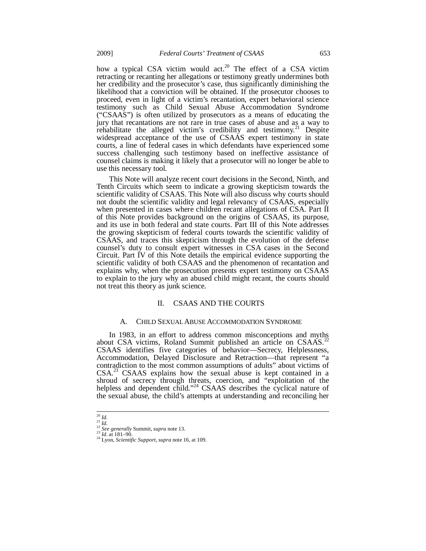how a typical CSA victim would act.<sup>20</sup> The effect of a CSA victim retracting or recanting her allegations or testimony greatly undermines both her credibility and the prosecutor's case, thus significantly diminishing the likelihood that a conviction will be obtained. If the prosecutor chooses to proceed, even in light of a victim's recantation, expert behavioral science testimony such as Child Sexual Abuse Accommodation Syndrome ("CSAAS") is often utilized by prosecutors as a means of educating the jury that recantations are not rare in true cases of abuse and as a way to rehabilitate the alleged victim's credibility and testimony.<sup>21</sup> Despite rehabilitate the alleged victim's credibility and testimony.<sup>21</sup> widespread acceptance of the use of CSAAS expert testimony in state courts, a line of federal cases in which defendants have experienced some success challenging such testimony based on ineffective assistance of counsel claims is making it likely that a prosecutor will no longer be able to use this necessary tool.

This Note will analyze recent court decisions in the Second, Ninth, and Tenth Circuits which seem to indicate a growing skepticism towards the scientific validity of CSAAS. This Note will also discuss why courts should not doubt the scientific validity and legal relevancy of CSAAS, especially when presented in cases where children recant allegations of CSA. Part II of this Note provides background on the origins of CSAAS, its purpose, and its use in both federal and state courts. Part III of this Note addresses the growing skepticism of federal courts towards the scientific validity of CSAAS, and traces this skepticism through the evolution of the defense counsel's duty to consult expert witnesses in CSA cases in the Second Circuit. Part IV of this Note details the empirical evidence supporting the scientific validity of both CSAAS and the phenomenon of recantation and explains why, when the prosecution presents expert testimony on CSAAS to explain to the jury why an abused child might recant, the courts should not treat this theory as junk science.

# II. CSAAS AND THE COURTS

## A. CHILD SEXUAL ABUSE ACCOMMODATION SYNDROME

In 1983, in an effort to address common misconceptions and myths about CSA victims, Roland Summit published an article on CSAAS.<sup>22</sup> CSAAS identifies five categories of behavior—Secrecy, Helplessness, Accommodation, Delayed Disclosure and Retraction—that represent "a contradiction to the most common assumptions of adults" about victims of  $CSA<sup>23</sup>$  CSAAS explains how the sexual abuse is kept contained in a shroud of secrecy through threats, coercion, and "exploitation of the helpless and dependent child."<sup>24</sup> CSAAS describes the cyclical nature of the sexual abuse, the child's attempts at understanding and reconciling her

 $^{20}\,$  Id.

<sup>20</sup> *Id.* <sup>21</sup> *Id.* <sup>22</sup> *See generally* Summit, *supra* note 13. 23 *Id.* at 181–90. 24 Lyon, *Scientific Support*, *supra* note 16, at 109.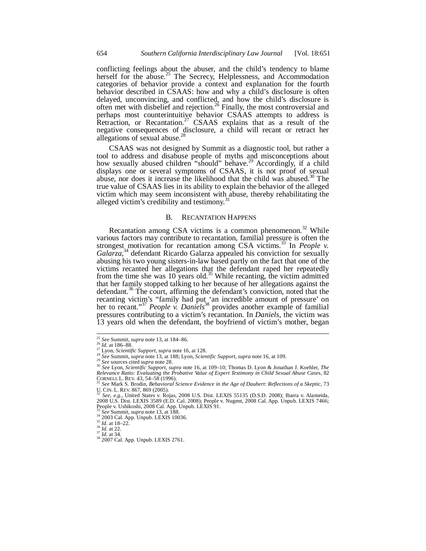conflicting feelings about the abuser, and the child's tendency to blame herself for the abuse.<sup>25</sup> The Secrecy, Helplessness, and Accommodation categories of behavior provide a context and explanation for the fourth behavior described in CSAAS: how and why a child's disclosure is often delayed, unconvincing, and conflicted, and how the child's disclosure is often met with disbelief and rejection.<sup>26</sup> Finally, the most controversial and perhaps most counterintuitive behavior CSAAS attempts to address is Retraction, or Recantation.<sup>27</sup> CSAAS explains that as a result of the negative consequences of disclosure, a child will recant or retract her allegations of sexual abuse. $^{28}$ 

CSAAS was not designed by Summit as a diagnostic tool, but rather a tool to address and disabuse people of myths and misconceptions about how sexually abused children "should" behave.<sup>29</sup> Accordingly, if a child displays one or several symptoms of CSAAS, it is not proof of sexual abuse, nor does it increase the likelihood that the child was abused. $30$  The true value of CSAAS lies in its ability to explain the behavior of the alleged victim which may seem inconsistent with abuse, thereby rehabilitating the alleged victim's credibility and testimony.<sup>31</sup>

## B. RECANTATION HAPPENS

Recantation among CSA victims is a common phenomenon.<sup>32</sup> While various factors may contribute to recantation, familial pressure is often the strongest motivation for recantation among CSA victims.<sup>33</sup> In *People v. Galarza*, 34 defendant Ricardo Galarza appealed his conviction for sexually abusing his two young sisters-in-law based partly on the fact that one of the victims recanted her allegations that the defendant raped her repeatedly from the time she was  $10$  years old.<sup>35</sup> While recanting, the victim admitted that her family stopped talking to her because of her allegations against the defendant.<sup>36</sup> The court, affirming the defendant's conviction, noted that the recanting victim's "family had put 'an incredible amount of pressure' on her to recant."37 *People v. Daniels*<sup>38</sup> provides another example of familial pressures contributing to a victim's recantation. In *Daniels*, the victim was 13 years old when the defendant, the boyfriend of victim's mother, began

<sup>&</sup>lt;sup>25</sup> See Summit, *supra* note 13, at 184–86.<br><sup>26</sup> *Id.* at 186–88.

<sup>&</sup>lt;sup>27</sup> Lyon, *Scientific Support, supra* note 16, at 128.<br><sup>28</sup> See Summit, *supra* note 13, at 188; Lyon, *Scientific Support, supra* note 16, at 109.<br><sup>29</sup> See Summit, *supra* note 13, at 188; Lyon, *Scientific Support, sup Relevance Ratio: Evaluating the Probative Value of Expert Testimony in Child Sexual Abuse Cases*, 82

CORNELL L. REV. 43, 54–58 (1996).<br><sup>31</sup> See Mark S. Brodin, *Behavioral Science Evidence in the Age of Daubert: Reflections of a Skeptic, 73* U. CIN. L. REV. 867, 869 (2005).<br><sup>32</sup> *See, e.g.*, United States v. Rojas, 2008 U.S. Dist. LEXIS 55135 (D.S.D. 2008); Ibarra v. Alameida,

<sup>2008</sup> U.S. Dist. LEXIS 3589 (E.D. Cal. 2008); People v. Nugent, 2008 Cal. App. Unpub. LEXIS 7466; People v. Ushikoshi, 2008 Cal. App. Unpub. LEXIS 91.<br><sup>31</sup> See Summit, *supra* note 13, at 188.<br><sup>34</sup> 2003 Cal. App. Unpub. LEXIS 10036.<br><sup>35</sup> *Id.* at 18–22.<br><sup>37</sup> *Id.* at 32.<br><sup>37</sup> *Id.* at 34.<br><sup>38</sup> 2007 Cal. App. Unpub. LEX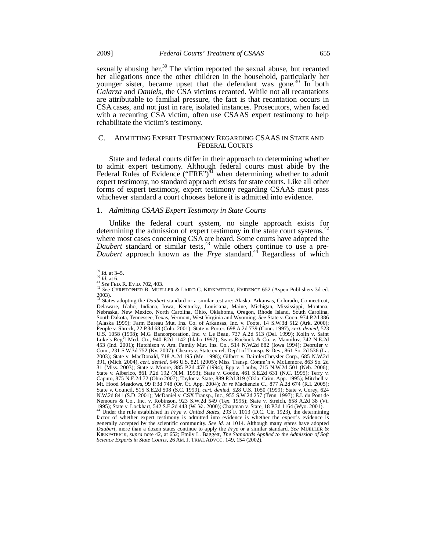sexually abusing her.<sup>39</sup> The victim reported the sexual abuse, but recanted her allegations once the other children in the household, particularly her younger sister, became upset that the defendant was gone.<sup>40</sup> In both *Galarza* and *Daniels*, the CSA victims recanted. While not all recantations are attributable to familial pressure, the fact is that recantation occurs in CSA cases, and not just in rare, isolated instances. Prosecutors, when faced with a recanting CSA victim, often use CSAAS expert testimony to help rehabilitate the victim's testimony.

# C. ADMITTING EXPERT TESTIMONY REGARDING CSAAS IN STATE AND FEDERAL COURTS

State and federal courts differ in their approach to determining whether to admit expert testimony. Although federal courts must abide by the Federal Rules of Evidence ("FRE")<sup> $41$ </sup> when determining whether to admit expert testimony, no standard approach exists for state courts. Like all other forms of expert testimony, expert testimony regarding CSAAS must pass whichever standard a court chooses before it is admitted into evidence.

## 1. *Admitting CSAAS Expert Testimony in State Courts*

Unlike the federal court system, no single approach exists for determining the admission of expert testimony in the state court systems,  $42$ where most cases concerning CSA are heard. Some courts have adopted the *Daubert* standard or similar tests,  $43$  while others continue to use a pre-*Daubert* approach known as the *Frye* standard.<sup>44</sup> Regardless of which

*Science Experts in State Courts*, 26 AM. J. TRIAL ADVOC. 149, 154 (2002).

 $^{39}_{40}$  *Id.* at 3–5.<br><sup>40</sup> *Id.* at 6.

<sup>39</sup> *Id.* at 3–5. 40 *Id.* at 6. 41 *See* FED. R. EVID. 702, 403. 42 *See* CHRISTOPHER B. MUELLER & LAIRD C. KIRKPATRICK, EVIDENCE 652 (Aspen Publishers 3d ed.

<sup>2003).</sup>  43 States adopting the *Daubert* standard or a similar test are: Alaska, Arkansas, Colorado, Connecticut, Delaware, Idaho, Indiana, Iowa, Kentucky, Louisiana, Maine, Michigan, Mississippi, Montana, Nebraska, New Mexico, North Carolina, Ohio, Oklahoma, Oregon, Rhode Island, South Carolina, South Dakota, Tennessee, Texas, Vermont, West Virginia and Wyoming. *See* State v. Coon, 974 P.2d 386 (Alaska 1999); Farm Bureau Mut. Ins. Co. of Arkansas, Inc. v. Foote, 14 S.W.3d 512 (Ark. 2000); People v. Shreck, 22 P.3d 68 (Colo. 2001); State v. Porter, 698 A.2d 739 (Conn. 1997), *cert. denied*, 523 U.S. 1058 (1998); M.G. Bancorporation, Inc. v. Le Beau, 737 A.2d 513 (Del. 1999); Kolln v. Saint Luke's Reg'l Med. Ctr., 940 P.2d 1142 (Idaho 1997); Sears Roebuck & Co. v. Manuilov, 742 N.E.2d 453 (Ind. 2001); Hutchison v. Am. Family Mut. Ins. Co., 514 N.W.2d 882 (Iowa 1994); Debruler v. Com., 231 S.W.3d 752 (Ky. 2007); Cheairs v. State ex rel. Dep't of Transp. & Dev., 861 So. 2d 536 (La. 2003); State v. MacDonald, 718 A.2d 195 (Me. 1998); Gilbert v. DaimlerChrysler Corp., 685 N.W.2d 391, (Mich. 2004), *cert. denied*, 546 U.S. 821 (2005); Miss. Transp. Comm'n v. McLemore, 863 So. 2d 31 (Miss. 2003); State v. Moore, 885 P.2d 457 (1994); Epp v. Lauby, 715 N.W.2d 501 (Neb. 2006); State v. Alberico, 861 P.2d 192 (N.M. 1993); State v. Goode, 461 S.E.2d 631 (N.C. 1995); Terry v.<br>Caputo, 875 N.E.2d 72 (Ohio 2007); Taylor v. State, 889 P.2d 319 (Okla. Crim. App. 1995); Mitchell v.<br>Mt. Hood Meadows, 99 P State v. Council, 515 S.E.2d 508 (S.C. 1999), *cert. denied*, 528 U.S. 1050 (1999); State v. Corey, 624<br>N.W.2d 841 (S.D. 2001); McDaniel v. CSX Transp., Inc., 955 S.W.2d 257 (Tenn. 1997); E.I. du Pont de<br>Nemours & Co., Inc 1995); State v. Lockhart, 542 S.E.2d 443 (W. Va. 2000); Chapman v. State, 18 P.3d 1164 (Wyo. 2001). 44 Under the rule established in *Frye v. United States*, 293 F. 1013 (D.C. Cir. 1923), the determining factor of whether expert testimony is admitted into evidence is whether the expert's evidence is generally accepted by the scientific community. See id. at 1014. Although many states have adopted Daubert, more than a dozen states continue to apply the Frye or a similar standard. See MUELLER & KIRKPATRICK, *supra* note 42, at 652; Emily L. Baggett, *The Standards Applied to the Admission of Soft*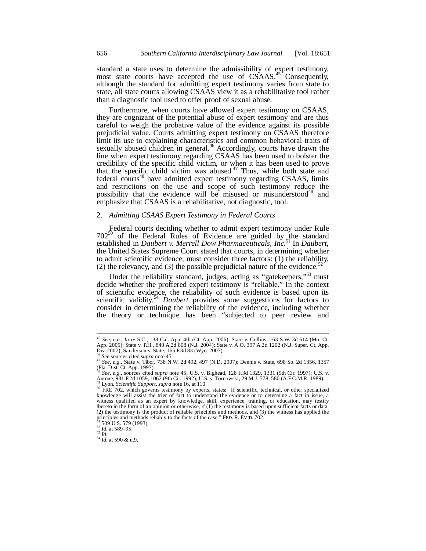standard a state uses to determine the admissibility of expert testimony, most state courts have accepted the use of CSAAS.<sup>45</sup> Consequently, although the standard for admitting expert testimony varies from state to state, all state courts allowing CSAAS view it as a rehabilitative tool rather than a diagnostic tool used to offer proof of sexual abuse.

Furthermore, when courts have allowed expert testimony on CSAAS, they are cognizant of the potential abuse of expert testimony and are thus careful to weigh the probative value of the evidence against its possible prejudicial value. Courts admitting expert testimony on CSAAS therefore limit its use to explaining characteristics and common behavioral traits of sexually abused children in general.<sup>46</sup> Accordingly, courts have drawn the line when expert testimony regarding CSAAS has been used to bolster the credibility of the specific child victim, or when it has been used to prove that the specific child victim was abused.<sup>47</sup> Thus, while both state and federal courts<sup>48</sup> have admitted expert testimony regarding CSAAS, limits and restrictions on the use and scope of such testimony reduce the possibility that the evidence will be misused or misunderstood<sup>49</sup> and emphasize that CSAAS is a rehabilitative, not diagnostic, tool.

## 2. *Admitting CSAAS Expert Testimony in Federal Courts*

Federal courts deciding whether to admit expert testimony under Rule  $702^{50}$  of the Federal Rules of Evidence are guided by the standard established in *Daubert v. Merrell Dow Pharmaceuticals, Inc.*<sup>51</sup> In *Daubert*, the United States Supreme Court stated that courts, in determining whether to admit scientific evidence, must consider three factors: (1) the reliability, (2) the relevancy, and (3) the possible prejudicial nature of the evidence.<sup>52</sup>

Under the reliability standard, judges, acting as "gatekeepers,"<sup>53</sup> must decide whether the proffered expert testimony is "reliable." In the context of scientific evidence, the reliability of such evidence is based upon its scientific validity.<sup>54</sup> *Daubert* provides some suggestions for factors to consider in determining the reliability of the evidence, including whether the theory or technique has been "subjected to peer review and

<sup>45</sup> *See, e.g.*, *In re* S.C., 138 Cal. App. 4th (Ct. App. 2006); State v. Collins, 163 S.W. 3d 614 (Mo. Ct. App. 2005); State v. P.H., 840 A.2d 808 (N.J. 2004); State v. A.O. 397 A.2d 1202 (N.J. Super. Ct. App. Div. 2007); Sanderson v. State, 165 P.3d 83 (Wyo. 2007).

<sup>46</sup> *See* sources cited *supra* note 45.<br><sup>47</sup> *See*, e.g., State v. Tibor, 738 N.W. 2d 492, 497 (N.D. 2007); Dennis v. State, 698 So. 2d 1356, 1357 (Fla. Dist. Ct. App. 1997).

<sup>48</sup> *See, e.g.*, sources cited *supra* note 45; U.S. v. Bighead, 128 F.3d 1329, 1331 (9th Cir. 1997); U.S. v. Antone, 981 F.2d 1059, 1062 (9th Cir. 1992); U.S. v. Tornowski, 29 M.J. 578, 580 (A.F.C.M.R. 1989).

<sup>&</sup>lt;sup>49</sup> Lyon, *Scientific Support*, *supra* note 16, at 110.<br><sup>50</sup> FRE 702, which governs testimony by experts, states: "If scientific, technical, or other specialized knowledge will assist the trier of fact to understand the witness qualified as an expert by knowledge, skill, experience, training, or education, may testify thereto in the form of an opinion or otherwise, if (1) the testimony is based upon sufficient facts or data, (2) the testimony is the product of reliable principles and methods, and (3) the witness has applied the principles and methods reliably to the facts of the case." FED. R. EVID. 702. <sup>51</sup> 509 U.S. 579 (1993).<br><sup>52</sup> *Id.* at 589–95.<br><sup>53</sup> *Id.* at 590 & n.9.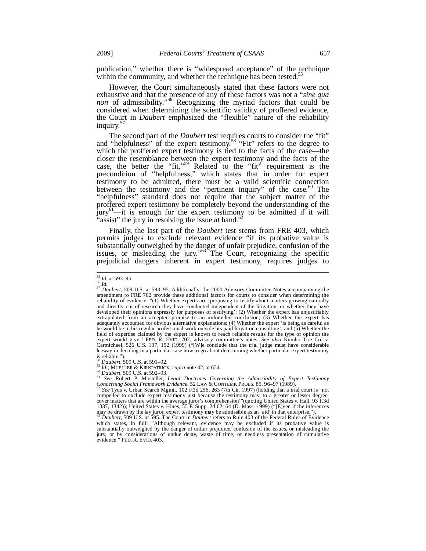publication," whether there is "widespread acceptance" of the technique within the community, and whether the technique has been tested.<sup>55</sup>

However, the Court simultaneously stated that these factors were not exhaustive and that the presence of any of these factors was not a "*sine qua non* of admissibility."<sup>56</sup> Recognizing the myriad factors that could be considered when determining the scientific validity of proffered evidence, the Court in *Daubert* emphasized the "flexible" nature of the reliability inquiry.<sup>5</sup>

The second part of the *Daubert* test requires courts to consider the "fit" and "helpfulness" of the expert testimony.<sup>58</sup> "Fit" refers to the degree to which the proffered expert testimony is tied to the facts of the case—the closer the resemblance between the expert testimony and the facts of the case, the better the "fit."<sup>59</sup> Related to the "fit" requirement is the precondition of "helpfulness," which states that in order for expert testimony to be admitted, there must be a valid scientific connection between the testimony and the "pertinent inquiry" of the case.<sup>60</sup> The "helpfulness" standard does not require that the subject matter of the proffered expert testimony be completely beyond the understanding of the jury<sup>61</sup>—it is enough for the expert testimony to be admitted if it will "assist" the jury in resolving the issue at hand.<sup>62</sup>

Finally, the last part of the *Daubert* test stems from FRE 403, which permits judges to exclude relevant evidence "if its probative value is substantially outweighed by the danger of unfair prejudice, confusion of the issues, or misleading the jury."<sup>63</sup> The Court, recognizing the specific prejudicial dangers inherent in expert testimony, requires judges to

 $^{55}$  *Id.* at 593-95.

<sup>&</sup>lt;sup>55</sup> *Id.* at 593–95.<br><sup>56</sup> *Id.*<br><sup>57</sup> Daubert, 509 U.S. at 593–95. Additionally, the 2000 Advisory Committee Notes accompanying the<br>amendment to FRE 702 provide these additional factors for courts to consider when determin reliability of evidence: "(1) Whether experts are 'proposing to testify about matters growing naturally and directly out of research they have conducted independent of the litigation, or whether they have developed their opinions expressly for purposes of testifying'; (2) Whether the expert has unjustifiably extrapolated from an accepted premise to an unfounded conclusion; (3) Whether the expert has adequately accounted for obvious alternative explanations; (4) Whether the expert 'is being as careful as he would be in his regular professional work outside his paid litigation consulting'; and (5) Whether the field of expertise claimed by the expert is known to reach reliable results for the type of opinion the expert would give." FED. R. EVID. 702, advisory committee's notes. *See also* Kumho Tire Co. v. Carmichael, 526 U.S. 137, 152 (1999) ("[W]e conclude that the trial judge must have considerable leeway in deciding in a particular case how to go about determining whether particular expert testimony is reliable.").<br> $58$  Daubert, 509 U.S. at 591–92.

<sup>&</sup>lt;sup>59</sup> Dawbert, 309 U.S. at 32.1 22.<br>
<sup>60</sup> Daubert, 509 U.S. at 592–93.<br>
<sup>61</sup> See Robert P. Mosteller, *Legal Doctrines Governing the Admissibility of Expert Testimony*<br> *Concerning Social Framework Evidence*, 52 LAN & CONT

*Concerning See Tyus v. Urban Search Mgmt., 102 F.3d 256, 263 (7th Cir. 1997) (holding that a trial court is "not* compelled to exclude expert testimony just because the testimony may, to a greater or lesser degree, cover matters that are within the average juror's comprehension'"(quoting United States v. Hall, 93 F.3d 1337, 1342)); United States v. Hines, 55 F. Supp. 2d 62, 64 (D. Mass. 1999) ("[E]ven if the inferences may be drawn by the lay juror, expert testimony may be admissible as an 'aid' in that enterprise."). <sup>63</sup> *Daubert*, 509 U.S. at 595. The Court in *Daubert* refers to Rule 403 of the Federal Rules of Evidence

which states, in full: "Although relevant, evidence may be excluded if its probative value is substantially outweighed by the danger of unfair prejudice, confusion of the issues, or misleading the jury, or by considerations of undue delay, waste of time, or needless presentation of cumulative evidence." FED. R. EVID. 403.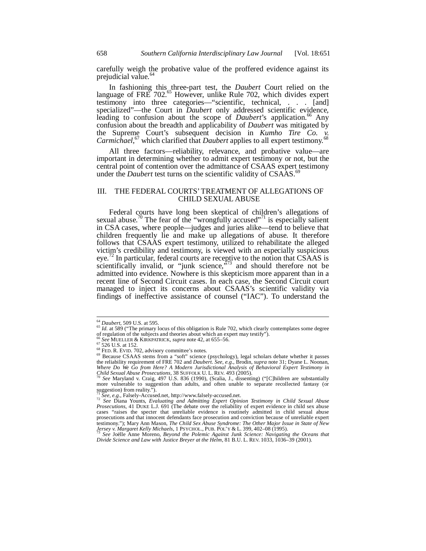carefully weigh the probative value of the proffered evidence against its prejudicial value.<sup>64</sup>

In fashioning this three-part test, the *Daubert* Court relied on the language of FRE 702.<sup>65</sup> However, unlike Rule 702, which divides expert testimony into three categories—"scientific, technical, . . . [and] specialized"—the Court in *Daubert* only addressed scientific evidence, leading to confusion about the scope of *Daubert*'s application.<sup>66</sup> Any confusion about the breadth and applicability of *Daubert* was mitigated by the Supreme Court's subsequent decision in *Kumho Tire Co. v.*  Carmichael,<sup>67</sup> which clarified that *Daubert* applies to all expert testimony.<sup>68</sup>

All three factors—reliability, relevance, and probative value—are important in determining whether to admit expert testimony or not, but the central point of contention over the admittance of CSAAS expert testimony under the *Daubert* test turns on the scientific validity of CSAAS.<sup>69</sup>

## III. THE FEDERAL COURTS' TREATMENT OF ALLEGATIONS OF CHILD SEXUAL ABUSE

Federal courts have long been skeptical of children's allegations of sexual abuse.<sup>70</sup> The fear of the "wrongfully accused"<sup>71</sup> is especially salient in CSA cases, where people—judges and juries alike—tend to believe that children frequently lie and make up allegations of abuse. It therefore follows that CSAAS expert testimony, utilized to rehabilitate the alleged victim's credibility and testimony, is viewed with an especially suspicious eye.<sup>72</sup> In particular, federal courts are receptive to the notion that CSAAS is scientifically invalid, or "junk science, $\frac{1}{3}$  and should therefore not be admitted into evidence. Nowhere is this skepticism more apparent than in a recent line of Second Circuit cases. In each case, the Second Circuit court managed to inject its concerns about CSAAS's scientific validity via findings of ineffective assistance of counsel ("IAC"). To understand the

<sup>&</sup>lt;sup>64</sup> Daubert, 509 U.S. at 595.

<sup>&</sup>lt;sup>65</sup> *Id.* at 589 ("The primary locus of this obligation is Rule 702, which clearly contemplates some degree of regulation of the subjects and theories about which an expert may testify").<br>
<sup>66</sup> See MUELLER & KIRKPATRICK, *supra* note 42, at 655–56.<br>
<sup>67</sup> 526 U.S. at 152.

<sup>&</sup>lt;sup>66</sup> See MUELLER & KIRKPATRICK, *supra* note 42, at 655–56.<br><sup>68</sup> S26 U.S. at 152.<br><sup>68</sup> FED. R. EVID. 702, advisory committee's notes.<br><sup>69</sup> Because CSAAS stems from a "soft" science (psychology), legal scholars debate wheth *Where Do We Go from Here? A Modern Jurisdictional Analysis of Behavioral Expert Testimony in Child Sexual Abuse Prosecutions, 38 SUFFOLK U.L. REV. 493 (2005).* 

*See* Maryland v. Craig, 497 U.S. 836 (1990), (Scalia, J., dissenting) ("[C]hildren are substantially more vulnerable to suggestion than adults, and often unable to separate recollected fantasy (or suggestion) from reality.<sup> $\frac{7}{1}$ </sup>.<br> $\frac{7}{2}$  *See, e.g.*, Falsely-Accused.net, http://www.falsely-accused.net.

<sup>71</sup> *See, e.g.*, Falsely-Accused.net, http://www.falsely-accused.net. 72 *See* Diana Younts, *Evaluating and Admitting Expert Opinion Testimony in Child Sexual Abuse Prosecutions*, 41 DUKE L.J. 691 (The debate over the reliability of expert evidence in child sex abuse cases "raises the specter that unreliable evidence is routinely admitted in child sexual abuse prosecutions and that innocent defendants face prosecution and conviction because of unreliable expert testimony."); Mary Ann Mason, *The Child Sex Abuse Syndrome: The Other Major Issue in State of New*<br>Jersey v. Margaret Kelly Michaels, 1 PSYCHOL., PUB. POL'Y & L. 399, 402–08 (1995).<br><sup>73</sup> See Joëlle Anne Moreno, *Beyond th* 

<sup>&</sup>lt;sup>75</sup> See Joëlle Anne Moreno, *Beyond the Polemic Against Junk Science: Navigating the Oceans that Divide Science and Law with Justice Breyer at the Helm, 81 B.U. L. REV. 1033, 1036–39 (2001).*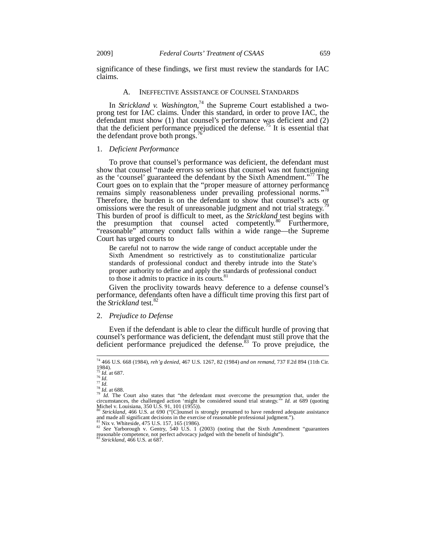significance of these findings, we first must review the standards for IAC claims.

## A. INEFFECTIVE ASSISTANCE OF COUNSEL STANDARDS

In *Strickland v. Washington*, 74 the Supreme Court established a twoprong test for IAC claims. Under this standard, in order to prove IAC, the defendant must show (1) that counsel's performance was deficient and (2) that the deficient performance prejudiced the defense.<sup>75</sup> It is essential that the defendant prove both prongs.<sup>76</sup>

## 1. *Deficient Performance*

To prove that counsel's performance was deficient, the defendant must show that counsel "made errors so serious that counsel was not functioning as the 'counsel' guaranteed the defendant by the Sixth Amendment."<sup>77</sup> The Court goes on to explain that the "proper measure of attorney performance remains simply reasonableness under prevailing professional norms." Therefore, the burden is on the defendant to show that counsel's acts or omissions were the result of unreasonable judgment and not trial strategy.<sup>7</sup> This burden of proof is difficult to meet, as the *Strickland* test begins with the presumption that counsel acted competently.<sup>80</sup> Furthermore, "reasonable" attorney conduct falls within a wide range—the Supreme Court has urged courts to

Be careful not to narrow the wide range of conduct acceptable under the Sixth Amendment so restrictively as to constitutionalize particular standards of professional conduct and thereby intrude into the State's proper authority to define and apply the standards of professional conduct to those it admits to practice in its courts.<sup>81</sup>

Given the proclivity towards heavy deference to a defense counsel's performance, defendants often have a difficult time proving this first part of the *Strickland* test.<sup>82</sup>

#### 2. *Prejudice to Defense*

Even if the defendant is able to clear the difficult hurdle of proving that counsel's performance was deficient, the defendant must still prove that the deficient performance prejudiced the defense.<sup>83</sup> To prove prejudice, the

-

<sup>74 466</sup> U.S. 668 (1984), *reh'g denied*, 467 U.S. 1267, 82 (1984) *and on remand*, 737 F.2d 894 (11th Cir.  $1984$ ).

<sup>&</sup>lt;sup>15</sup> *Id.* at 687.<br><sup>76</sup> *Id.*<br><sup>77</sup> *Id.*<br><sup>78</sup> *Id.* at 688.<br><sup>79</sup> *Id.* The Court also states that "the defendant must overcome the presumption that, under the circumstances, the challenged action 'might be considered sound trial strategy.'" *Id.* at 689 (quoting

Michel v. Louisiana, 350 U.S. 91, 101 (1955)).<br><sup>80</sup> Strickland, 466 U.S. at 690 ("[C]ounsel is strongly presumed to have rendered adequate assistance<br>and made all significant decisions in the exercise of reasonable profess

<sup>81</sup> Nix v. Whiteside, 475 U.S. 157, 165 (1986). 82 *See* Yarborough v*.* Gentry, 540 U.S. 1 (2003) (noting that the Sixth Amendment "guarantees reasonable competence, not perfect advocacy judged with the benefit of hindsight"). <sup>83</sup> *Strickland*, 466 U.S. at 687.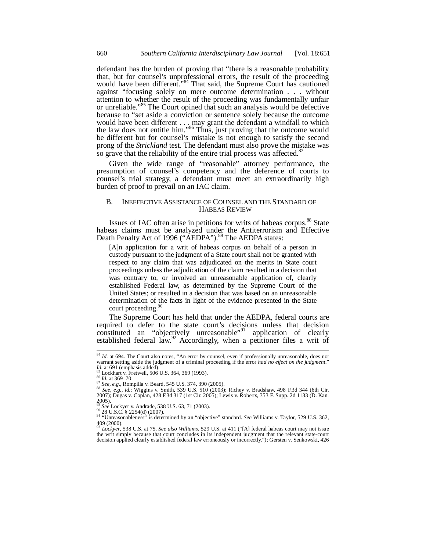defendant has the burden of proving that "there is a reasonable probability that, but for counsel's unprofessional errors, the result of the proceeding would have been different."<sup>84</sup> That said, the Supreme Court has cautioned against "focusing solely on mere outcome determination . . . without attention to whether the result of the proceeding was fundamentally unfair or unreliable."85 The Court opined that such an analysis would be defective because to "set aside a conviction or sentence solely because the outcome would have been different  $\ldots$  may grant the defendant a windfall to which the law does not entitle him."<sup>86</sup> Thus, just proving that the outcome would be different but for counsel's mistake is not enough to satisfy the second prong of the *Strickland* test. The defendant must also prove the mistake was so grave that the reliability of the entire trial process was affected.<sup>8</sup>

Given the wide range of "reasonable" attorney performance, the presumption of counsel's competency and the deference of courts to counsel's trial strategy, a defendant must meet an extraordinarily high burden of proof to prevail on an IAC claim.

#### B. INEFFECTIVE ASSISTANCE OF COUNSEL AND THE STANDARD OF HABEAS REVIEW

Issues of IAC often arise in petitions for writs of habeas corpus.<sup>88</sup> State habeas claims must be analyzed under the Antiterrorism and Effective Death Penalty Act of 1996 ("AEDPA").<sup>89</sup> The AEDPA states:

[A]n application for a writ of habeas corpus on behalf of a person in custody pursuant to the judgment of a State court shall not be granted with respect to any claim that was adjudicated on the merits in State court proceedings unless the adjudication of the claim resulted in a decision that was contrary to, or involved an unreasonable application of, clearly established Federal law, as determined by the Supreme Court of the United States; or resulted in a decision that was based on an unreasonable determination of the facts in light of the evidence presented in the State court proceeding.<sup>90</sup>

The Supreme Court has held that under the AEDPA, federal courts are required to defer to the state court's decisions unless that decision constituted an "objectively unreasonable"<sup>91</sup> application of clearly established federal law. $\frac{92}{2}$  Accordingly, when a petitioner files a writ of

 $\overline{a}$ 

<sup>&</sup>lt;sup>84</sup> *Id.* at 694. The Court also notes, "An error by counsel, even if professionally unreasonable, does not warrant setting aside the judgment of a criminal proceeding if the error *had no effect on the judgment*."<br>*Id*, at 691 (emphasis added).

<sup>&</sup>lt;sup>85</sup> Lockhart v. Fretwell, 506 U.S. 364, 369 (1993).<br><sup>86</sup> *Id.* at 369–70.<br><sup>87</sup> *See, e.g.*, Rompilla v. Beard, 545 U.S. 374, 390 (2005).<br><sup>87</sup> *See, e.g.*, Rompilla v. Beard, 539 JJ S. 510 (2003).

<sup>&</sup>lt;sup>20 Ee</sup>, *e.g.*, i.d.; Wingma v. Denith, 539 U.S. 510 (2003); Richey v. Bradshaw, 498 F.3d 344 (6th Cir. 2007); Dugas v. Coplan, 428 F.3d 317 (1st Cir. 2005); Lewis v. Roberts, 353 F. Supp. 2d 1133 (D. Kan. 2005).<br>
<sup>89</sup> See Lockyer v. Andrade, 538 U.S. 63, 71 (2003).<br>
<sup>90</sup> 28 U.S.C. § 2254(d) (2007).

<sup>89 &</sup>lt;sup>26</sup> C.S.C. § 2254(d) (2007).<br>"Unreasonableness" is determined by an "objective" standard. *See* Williams v. Taylor, 529 U.S. 362,  $409(2000)$ .

<sup>92</sup> *Lockyer*, 538 U.S. at 75. *See also Williams*, 529 U.S. at 411 ("[A] federal habeas court may not issue the writ simply because that court concludes in its independent judgment that the relevant state-court decision applied clearly established federal law erroneously or incorrectly."); Gersten v. Senkowski, 426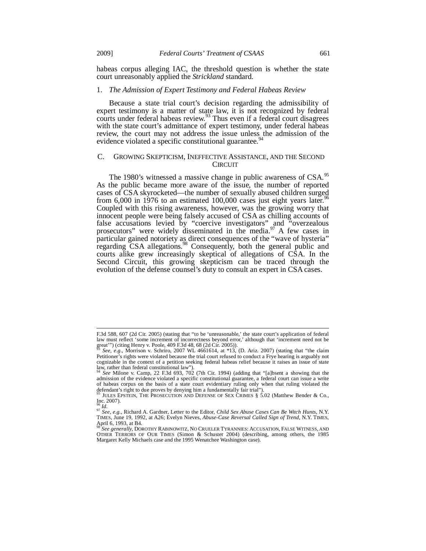habeas corpus alleging IAC, the threshold question is whether the state court unreasonably applied the *Strickland* standard.

#### 1. *The Admission of Expert Testimony and Federal Habeas Review*

Because a state trial court's decision regarding the admissibility of expert testimony is a matter of state law, it is not recognized by federal courts under federal habeas review.<sup>93</sup> Thus even if a federal court disagrees with the state court's admittance of expert testimony, under federal habeas review, the court may not address the issue unless the admission of the evidence violated a specific constitutional guarantee.<sup>9</sup>

## C. GROWING SKEPTICISM, INEFFECTIVE ASSISTANCE, AND THE SECOND **CIRCUIT**

The 1980's witnessed a massive change in public awareness of CSA.<sup>95</sup> As the public became more aware of the issue, the number of reported cases of CSA skyrocketed—the number of sexually abused children surged from 6,000 in 1976 to an estimated 100,000 cases just eight years later.<sup>96</sup> Coupled with this rising awareness, however, was the growing worry that innocent people were being falsely accused of CSA as chilling accounts of false accusations levied by "coercive investigators" and "overzealous prosecutors" were widely disseminated in the media.<sup>97</sup> A few cases in particular gained notoriety as direct consequences of the "wave of hysteria" regarding CSA allegations.<sup>98</sup> Consequently, both the general public and courts alike grew increasingly skeptical of allegations of CSA. In the Second Circuit, this growing skepticism can be traced through the evolution of the defense counsel's duty to consult an expert in CSA cases.

-

F.3d 588, 607 (2d Cir. 2005) (stating that "to be 'unreasonable,' the state court's application of federal law must reflect 'some increment of incorrectness beyond error,' although that 'increment need not be great''') (citing Henry v. Poole, 409 F.3d 48, 68 (2d Cir. 2005)).

<sup>93</sup> *See, e.g.*, Morrison v. Schriro, 2007 WL 4661614, at \*13, (D. Ariz. 2007) (stating that "the claim Petitioner's rights were violated because the trial court refused to conduct a Frye hearing is arguably not cognizable in the context of a petition seeking federal habeas relief because it raises an issue of state law, rather than federal constitutional law"). <sup>94</sup> *See* Milone v. Camp, 22 F.3d 693, 702 (7th Cir. 1994) (adding that "[a]bsent a showing that the

admission of the evidence violated a specific constitutional guarantee, a federal court can issue a write of habeas corpus on the basis of a state court evidentiary ruling only when that ruling violated the

defendant's right to due proves by denying him a fundamentally fair trial").<br><sup>95</sup> JULES EPSTEIN, THE PROSECUTION AND DEFENSE OF SEX CRIMES § 5.02 (Matthew Bender & Co.,  $\lim_{6}$  2007).

<sup>96</sup> *Id.* <sup>97</sup> *See, e.g.*, Richard A. Gardner, Letter to the Editor, *Child Sex Abuse Cases Can Be Witch Hunts*, N.Y. TIMES, June 19, 1992, at A26; Evelyn Nieves, *Abuse-Case Reversal Called Sign of Trend*, N.Y. TIMES, April 6, 1993, at B4.

<sup>.&</sup>lt;br>*See generally, D*OROTHY RABINOWITZ, NO CRUELER TYRANNIES: ACCUSATION, FALSE WITNESS, AND OTHER TERRORS OF OUR TIMES (Simon & Schuster 2004) (describing, among others, the 1985 Margaret Kelly Michaels case and the 1995 Wenatchee Washington case).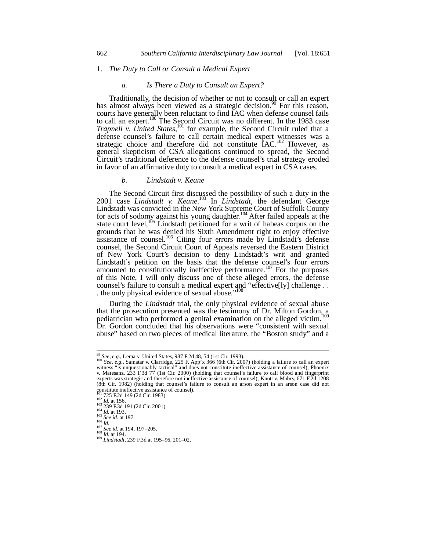#### 1. *The Duty to Call or Consult a Medical Expert*

#### *a. Is There a Duty to Consult an Expert?*

Traditionally, the decision of whether or not to consult or call an expert has almost always been viewed as a strategic decision.<sup>99</sup> For this reason, courts have generally been reluctant to find IAC when defense counsel fails to call an expert.<sup>100</sup> The Second Circuit was no different. In the 1983 case *Trapnell v. United States*,<sup>101</sup> for example, the Second Circuit ruled that a defense counsel's failure to call certain medical expert witnesses was a strategic choice and therefore did not constitute  $\text{IAC}.^{102}$  However, as general skepticism of CSA allegations continued to spread, the Second Circuit's traditional deference to the defense counsel's trial strategy eroded in favor of an affirmative duty to consult a medical expert in CSA cases.

#### *b. Lindstadt v. Keane*

The Second Circuit first discussed the possibility of such a duty in the 2001 case *Lindstadt v. Keane*. 103 In *Lindstadt*, the defendant George Lindstadt was convicted in the New York Supreme Court of Suffolk County for acts of sodomy against his young daughter.<sup>104</sup> After failed appeals at the state court level,<sup>105</sup> Lindstadt petitioned for a writ of habeas corpus on the grounds that he was denied his Sixth Amendment right to enjoy effective assistance of counsel.<sup>106</sup> Citing four errors made by Lindstadt's defense counsel, the Second Circuit Court of Appeals reversed the Eastern District of New York Court's decision to deny Lindstadt's writ and granted Lindstadt's petition on the basis that the defense counsel's four errors amounted to constitutionally ineffective performance.<sup>107</sup> For the purposes of this Note, I will only discuss one of these alleged errors, the defense counsel's failure to consult a medical expert and "effective[ly] challenge . . . the only physical evidence of sexual abuse."<sup>108</sup>

During the *Lindstadt* trial, the only physical evidence of sexual abuse that the prosecution presented was the testimony of Dr. Milton Gordon, a pediatrician who performed a genital examination on the alleged victim.<sup>109</sup> Dr. Gordon concluded that his observations were "consistent with sexual abuse" based on two pieces of medical literature, the "Boston study" and a

-

<sup>&</sup>lt;sup>99</sup> *See, e.g.*, Lema v. United States, 987 F.2d 48, 54 (1st Cir. 1993).<br><sup>100</sup> *See, e.g.*, Samatar v. Clarridge, 225 F. App'x 366 (6th Cir. 2007) (holding a failure to call an expert witness "is unquestionably tactical" and does not constitute ineffective assistance of counsel); Phoenix v. Matesanz, 233 F.3d 77 (1st Cir. 2000) (holding that counsel's failure to call blood and fingerprint experts was strategic and therefore not ineffective assistance of counsel); Knott v. Mabry, 671 F.2d 1208 (8th Cir. 1982) (holding that counsel's failure to consult an arson expert in an arson case did not constitute ineffective assistance of counsel).<br><sup>101</sup> 725 F.2d 149 (2d Cir. 1983).

<sup>102</sup> *Id.* at 156.<br>
102 *Id.* at 156.<br>
103 239 F.3d 191 (2d Cir. 2001).<br>
104 *Id.* at 193.<br>
106 *Id.*<br>
107 *See id.* at 194, 197–205.<br>
108 *Id.* at 194, 197–205.<br>
108 *Id.* at 194.<br>
109 *Lindstadt*, 239 F.3d at 195–96, 201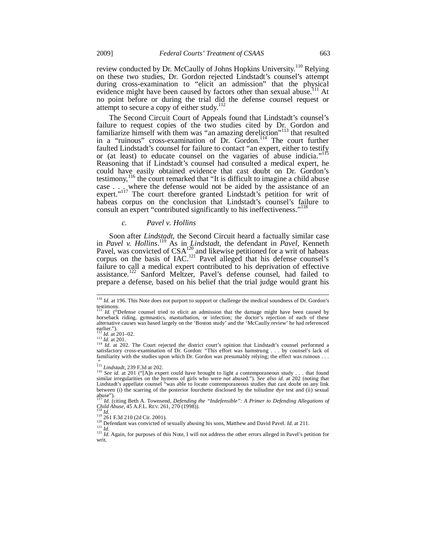review conducted by Dr. McCaully of Johns Hopkins University.<sup>110</sup> Relying on these two studies, Dr. Gordon rejected Lindstadt's counsel's attempt during cross-examination to "elicit an admission" that the physical evidence might have been caused by factors other than sexual abuse.<sup>111</sup> At no point before or during the trial did the defense counsel request or attempt to secure a copy of either study.<sup>1</sup>

The Second Circuit Court of Appeals found that Lindstadt's counsel's failure to request copies of the two studies cited by Dr. Gordon and familiarize himself with them was "an amazing dereliction"<sup>113</sup> that resulted in a "ruinous" cross-examination of Dr. Gordon.<sup>114</sup> The court further faulted Lindstadt's counsel for failure to contact "an expert, either to testify or (at least) to educate counsel on the vagaries of abuse indicia."<sup>115</sup> Reasoning that if Lindstadt's counsel had consulted a medical expert, he could have easily obtained evidence that cast doubt on Dr. Gordon's testimony,<sup>116</sup> the court remarked that "It is difficult to imagine a child abuse case  $\ldots$  where the defense would not be aided by the assistance of an expert."<sup>117</sup> The court therefore granted Lindstadt's petition for writ of habeas corpus on the conclusion that Lindstadt's counsel's failure to consult an expert "contributed significantly to his ineffectiveness."<sup>118</sup>

## *c. Pavel v. Hollins*

Soon after *Lindstadt*, the Second Circuit heard a factually similar case in *Pavel v. Hollins*. 119 As in *Lindstadt*, the defendant in *Pavel*, Kenneth Pavel, was convicted of  $CSA_{120}^{120}$  and likewise petitioned for a writ of habeas corpus on the basis of IAC.<sup>121</sup> Pavel alleged that his defense counsel's failure to call a medical expert contributed to his deprivation of effective assistance.<sup>122</sup> Sanford Meltzer, Pavel's defense counsel, had failed to prepare a defense, based on his belief that the trial judge would grant his

 $\overline{a}$ 

<sup>&</sup>lt;sup>110</sup> *Id.* at 196. This Note does not purport to support or challenge the medical soundness of Dr. Gordon's testimony.

Id. ("Defense counsel tried to elicit an admission that the damage might have been caused by horseback riding, gymnastics, masturbation, or infection; the doctor's rejection of each of these alternative causes was based largely on the 'Boston study' and the 'McCaully review' he had referenced earlier.").<br> $\frac{12}{12}$  *Id.* at 201–02.

<sup>&</sup>lt;sup>112</sup> *Id.* at 201-02.<br><sup>113</sup> *Id.* at 201.<br><sup>114</sup> *Id.* at 202. The Court rejected the district court's opinion that Lindstadt's counsel performed a satisfactory cross-examination of Dr. Gordon: "This effort was hamstrung familiarity with the studies upon which Dr. Gordon was presumably relying; the effect was ruinous . . .

 $^{115}$  Lindstadt, 239 F.3d at 202.

<sup>&</sup>lt;sup>116</sup> *See id.* at 201 ("[A]n expert could have brought to light a contemporaneous study . . . that found similar irregularities on the hymens of girls who were *not* abused."). See also id. at 202 (noting that Lindstadt's appellate counsel "was able to locate contemporaneous studies that cast doubt on any link between (i) the scarring of the posterior fourchette disclosed by the toliudine dye test and (ii) sexual abuse").

<sup>&</sup>lt;sup>117</sup> *Id.* (citing Beth A. Townsend, *Defending the "Indefensible": A Primer to Defending Allegations of Child Abuse,* 45 A.F.L. REV. 261, 270 (1998)).

<sup>&</sup>lt;sup>119</sup> 261 F.3d 210 (2d Cir. 2001).<br><sup>120</sup> 261 F.3d 210 (2d Cir. 2001).<br><sup>120</sup> Defendant was convicted of sexually abusing his sons, Matthew and David Pavel. *Id.* at 211.<br><sup>121</sup> *Id.* Again, for purposes of this Note, I will writ.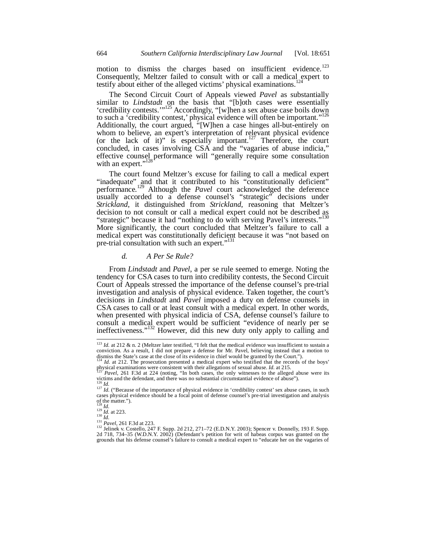motion to dismiss the charges based on insufficient evidence.<sup>123</sup> Consequently, Meltzer failed to consult with or call a medical expert to testify about either of the alleged victims' physical examinations.<sup>124</sup>

The Second Circuit Court of Appeals viewed *Pavel* as substantially similar to *Lindstadt* on the basis that "[b]oth cases were essentially 'credibility contests.'"<sup>125</sup> Accordingly, "[w]hen a sex abuse case boils down to such a 'credibility contest,' physical evidence will often be important.' Additionally, the court argued, "[W]hen a case hinges all-but-entirely on whom to believe, an expert's interpretation of relevant physical evidence (or the lack of it)" is especially important.<sup>127</sup> Therefore, the court concluded, in cases involving CSA and the "vagaries of abuse indicia," effective counsel performance will "generally require some consultation with an expert."<sup>12</sup>

The court found Meltzer's excuse for failing to call a medical expert "inadequate" and that it contributed to his "constitutionally deficient" performance.129 Although the *Pavel* court acknowledged the deference usually accorded to a defense counsel's "strategic" decisions under *Strickland*, it distinguished from *Strickland*, reasoning that Meltzer's decision to not consult or call a medical expert could not be described as "strategic" because it had "nothing to do with serving Pavel's interests."<sup>130</sup> More significantly, the court concluded that Meltzer's failure to call a medical expert was constitutionally deficient because it was "not based on pre-trial consultation with such an expert."<sup>13</sup>

#### *d. A Per Se Rule?*

From *Lindstadt* and *Pavel*, a per se rule seemed to emerge. Noting the tendency for CSA cases to turn into credibility contests, the Second Circuit Court of Appeals stressed the importance of the defense counsel's pre-trial investigation and analysis of physical evidence. Taken together, the court's decisions in *Lindstadt* and *Pavel* imposed a duty on defense counsels in CSA cases to call or at least consult with a medical expert. In other words, when presented with physical indicia of CSA, defense counsel's failure to consult a medical expert would be sufficient "evidence of nearly per se ineffectiveness."<sup>132</sup> However, did this new duty only apply to calling and

 $123$  *Id.* at 212 & n. 2 (Meltzer later testified, "I felt that the medical evidence was insufficient to sustain a conviction. As a result, I did not prepare a defense for Mr. Pavel, believing instead that a motion to dismiss the State's case at the close of its evidence in chief would be granted by the Court.").

<sup>&</sup>lt;sup>124</sup> *Id.* at 212. The prosecution presented a medical expert who testified that the records of the boys' physical examinations were consistent with their allegations of sexual abuse. *Id.* at 215.

physical examinations were consistent with their allegations of sexual abuse. *Id.* at 215.<br><sup>125</sup> *Pavel*, 261 F.3d at 224 (noting, "In both cases, the only witnesses to the alleged abuse were its victims and the defendan

of the matter.").

<sup>&</sup>lt;sup>128</sup> *Id.*<br><sup>129</sup> *Id.* at 223.<br><sup>130</sup> *Id.* at 223.<br><sup>131</sup> Pavel, 261 F.3d at 223.<br><sup>131</sup> Jelinek v. Costello, 247 F. Supp. 2d 212, 271–72 (E.D.N.Y. 2003); Spencer v. Donnelly, 193 F. Supp.<br>2d 718, 734–35 (W.D.N.Y. 2002) (D grounds that his defense counsel's failure to consult a medical expert to "educate her on the vagaries of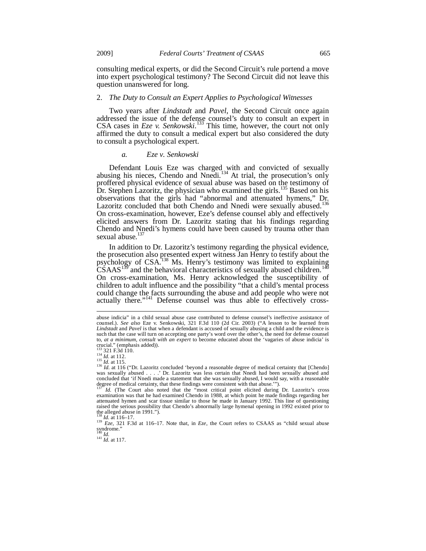consulting medical experts, or did the Second Circuit's rule portend a move into expert psychological testimony? The Second Circuit did not leave this question unanswered for long.

#### 2. *The Duty to Consult an Expert Applies to Psychological Witnesses*

Two years after *Lindstadt* and *Pavel*, the Second Circuit once again addressed the issue of the defense counsel's duty to consult an expert in CSA cases in  $Eze$  v. Senkowski.<sup>133</sup> This time, however, the court not only affirmed the duty to consult a medical expert but also considered the duty to consult a psychological expert.

#### *a. Eze v. Senkowski*

Defendant Louis Eze was charged with and convicted of sexually abusing his nieces, Chendo and Nnedi.<sup>134</sup> At trial, the prosecution's only proffered physical evidence of sexual abuse was based on the testimony of Dr. Stephen Lazoritz, the physician who examined the girls.<sup>135</sup> Based on his observations that the girls had "abnormal and attenuated hymens," Dr. Lazoritz concluded that both Chendo and Nnedi were sexually abused.<sup>136</sup> On cross-examination, however, Eze's defense counsel ably and effectively elicited answers from Dr. Lazoritz stating that his findings regarding Chendo and Nnedi's hymens could have been caused by trauma other than sexual abuse.<sup>137</sup>

In addition to Dr. Lazoritz's testimony regarding the physical evidence, the prosecution also presented expert witness Jan Henry to testify about the psychology of CSA.<sup>138</sup> Ms. Henry's testimony was limited to explaining  $\overline{\text{CSAAS}}^{139}$  and the behavioral characteristics of sexually abused children.<sup>140</sup> On cross-examination, Ms. Henry acknowledged the susceptibility of children to adult influence and the possibility "that a child's mental process could change the facts surrounding the abuse and add people who were not actually there."<sup>141</sup> Defense counsel was thus able to effectively cross-

-

 $\int_{141}^{141}$  *Id.* at 117.

abuse indicia" in a child sexual abuse case contributed to defense counsel's ineffective assistance of counsel.). *See also* Eze v. Senkowski, 321 F.3d 110 (2d Cir. 2003) ("A lesson to be learned from *Lindstadt* and *Pavel* is that when a defendant is accused of sexually abusing a child and the evidence is such that the case will turn on accepting one party's word over the other's, the need for defense counsel to, *at a minimum, consult with an expert* to become educated about the 'vagaries of abuse indicia' is crucial." (emphasis added)).

<sup>133 321</sup> F.3d 110.<br>
<sup>133</sup> 321 F.3d 110.<br>
<sup>134</sup> *Id.* at 112.<br>
<sup>136</sup> *Id.* at 115 ("Dr. Lazoritz concluded 'beyond a reasonable degree of medical certainty that [Chendo] was sexually abused . . . .' Dr. Lazoritz was less certain that Nnedi had been sexually abused and concluded that 'if Nnedi made a statement that she was sexually abused, I would say, with a reasonable degree of medical certainty, that these findings were consistent with that abuse."").

<sup>&</sup>lt;sup>137</sup> *Id.* (The Court also noted that the "most critical point elicited during Dr. Lazoritz's cross examination was that he had examined Chendo in 1988, at which point he made findings regarding her attenuated hymen and scar tissue similar to those he made in January 1992. This line of questioning raised the serious possibility that Chendo's abnormally large hymenal opening in 1992 existed prior to the alleged abuse in 1991.").<br> $^{138}$  *Id.* at 116–17.

<sup>138</sup> *Id.* at 116–17. 139 *Eze*, 321 F.3d at 116–17. Note that, in *Eze*, the Court refers to CSAAS as "child sexual abuse syndrome."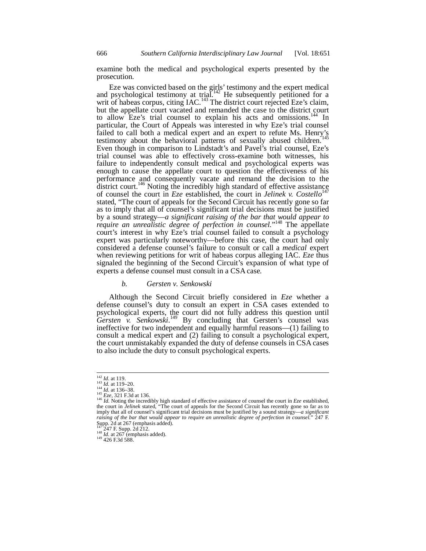examine both the medical and psychological experts presented by the prosecution.

Eze was convicted based on the girls' testimony and the expert medical and psychological testimony at trial.<sup>142</sup> He subsequently petitioned for a writ of habeas corpus, citing  $IAC$ <sup>143</sup>. The district court rejected Eze's claim, but the appellate court vacated and remanded the case to the district court to allow Eze's trial counsel to explain his acts and omissions.<sup>144</sup> In to allow Eze's trial counsel to explain his acts and omissions.<sup>144</sup> particular, the Court of Appeals was interested in why Eze's trial counsel failed to call both a medical expert and an expert to refute Ms. Henry's testimony about the behavioral patterns of sexually abused children.<sup>1</sup> Even though in comparison to Lindstadt's and Pavel's trial counsel, Eze's trial counsel was able to effectively cross-examine both witnesses, his failure to independently consult medical and psychological experts was enough to cause the appellate court to question the effectiveness of his performance and consequently vacate and remand the decision to the district court.<sup>146</sup> Noting the incredibly high standard of effective assistance of counsel the court in *Eze* established, the court in *Jelinek v. Costello*<sup>147</sup> stated, "The court of appeals for the Second Circuit has recently gone so far as to imply that all of counsel's significant trial decisions must be justified by a sound strategy—*a significant raising of the bar that would appear to*  require an unrealistic degree of perfection in counsel."<sup>148</sup> The appellate court's interest in why Eze's trial counsel failed to consult a psychology expert was particularly noteworthy—before this case, the court had only considered a defense counsel's failure to consult or call a *medical* expert when reviewing petitions for writ of habeas corpus alleging IAC. *Eze* thus signaled the beginning of the Second Circuit's expansion of what type of experts a defense counsel must consult in a CSA case.

#### *b. Gersten v. Senkowski*

Although the Second Circuit briefly considered in *Eze* whether a defense counsel's duty to consult an expert in CSA cases extended to psychological experts, the court did not fully address this question until Gersten v. Senkowski.<sup>149</sup> By concluding that Gersten's counsel was ineffective for two independent and equally harmful reasons—(1) failing to consult a medical expert and (2) failing to consult a psychological expert, the court unmistakably expanded the duty of defense counsels in CSA cases to also include the duty to consult psychological experts.

148 <del>24</del>7 F. Supp. 20<br>149 *Id.* at 267 (emphasis added).<br><sup>149</sup> 426 F.3d 588.

 $142$  *Id.* at 119.

<sup>&</sup>lt;sup>142</sup> *Id.* at 119.<br><sup>143</sup> *Id.* at 119–20.<br><sup>144</sup> *Id.* at 136–38.<br><sup>145</sup> *Eze*, 321 F.3d at 136.<br><sup>146</sup> *Id.* Noting the incredibly high standard of effective assistance of counsel the court in *Eze* established, the court in *Jelinek* stated, "The court of appeals for the Second Circuit has recently gone so far as to imply that all of counsel's significant trial decisions must be justified by a sound strategy—a significant *raising of the bar that would appear to require an unrealistic degree of perfection in counsel.*" 247 F. Supp. 2d at 267 (emphasis added).<br><sup>147</sup> 247 F. Supp. 2d 212.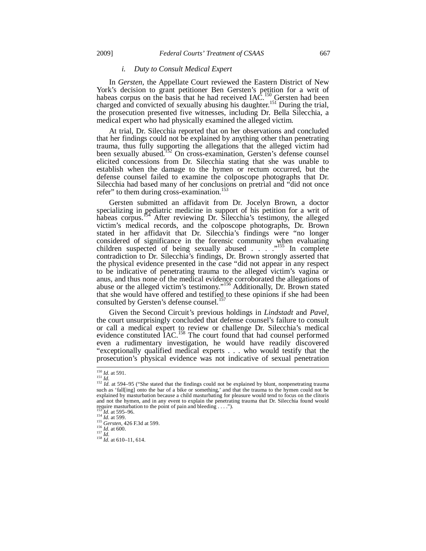#### *i. Duty to Consult Medical Expert*

In *Gersten*, the Appellate Court reviewed the Eastern District of New York's decision to grant petitioner Ben Gersten's petition for a writ of habeas corpus on the basis that he had received  $IAC<sup>150</sup>$  Gersten had been charged and convicted of sexually abusing his daughter.<sup>151</sup> During the trial, the prosecution presented five witnesses, including Dr. Bella Silecchia, a medical expert who had physically examined the alleged victim.

At trial, Dr. Silecchia reported that on her observations and concluded that her findings could not be explained by anything other than penetrating trauma, thus fully supporting the allegations that the alleged victim had been sexually abused.<sup>152</sup> On cross-examination, Gersten's defense counsel elicited concessions from Dr. Silecchia stating that she was unable to establish when the damage to the hymen or rectum occurred, but the defense counsel failed to examine the colposcope photographs that Dr. Silecchia had based many of her conclusions on pretrial and "did not once refer" to them during cross-examination.<sup>153</sup>

Gersten submitted an affidavit from Dr. Jocelyn Brown, a doctor specializing in pediatric medicine in support of his petition for a writ of habeas corpus.<sup>154</sup> After reviewing Dr. Silecchia's testimony, the alleged victim's medical records, and the colposcope photographs, Dr. Brown stated in her affidavit that Dr. Silecchia's findings were "no longer considered of significance in the forensic community when evaluating children suspected of being sexually abused  $\ldots$ .  $\ldots$ <sup>155</sup> In complete contradiction to Dr. Silecchia's findings, Dr. Brown strongly asserted that the physical evidence presented in the case "did not appear in any respect to be indicative of penetrating trauma to the alleged victim's vagina or anus, and thus none of the medical evidence corroborated the allegations of abuse or the alleged victim's testimony."<sup>156</sup> Additionally, Dr. Brown stated that she would have offered and testified to these opinions if she had been consulted by Gersten's defense counsel.<sup>1</sup>

Given the Second Circuit's previous holdings in *Lindstadt* and *Pavel*, the court unsurprisingly concluded that defense counsel's failure to consult or call a medical expert to review or challenge Dr. Silecchia's medical evidence constituted IAC.<sup>158</sup> The court found that had counsel performed even a rudimentary investigation, he would have readily discovered "exceptionally qualified medical experts . . . who would testify that the prosecution's physical evidence was not indicative of sexual penetration

<sup>&</sup>lt;sup>150</sup> *Id.* at 591.<br><sup>151</sup> *Id.* at 594–95 ("She stated that the findings could not be explained by blunt, nonpenetrating trauma such as 'fall[ing] onto the bar of a bike or something,' and that the trauma to the hymen could not be explained by masturbation because a child masturbating for pleasure would tend to focus on the clitoris and not the hymen, and in any event to explain the penetrating trauma that Dr. Silecchia found would require masturbation to the point of pain and bleeding . . . .").<br><sup>153</sup> Id. at 595–96.

<sup>154</sup> *Id.* at 599.<br>
154 *Id.* at 599.<br>
155 *Gersten*, 426 F.3d at 599.<br>
156 *Id.* at 600.<br>
<sup>157</sup> *Id.* 158 *Id.* at 610–11, 614.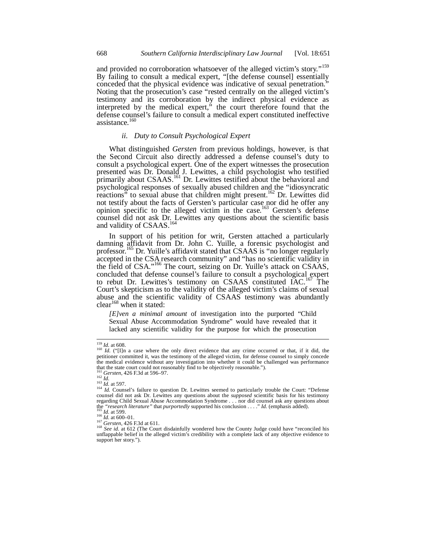and provided no corroboration whatsoever of the alleged victim's story."<sup>159</sup> By failing to consult a medical expert, "[the defense counsel] essentially conceded that the physical evidence was indicative of sexual penetration." Noting that the prosecution's case "rested centrally on the alleged victim's testimony and its corroboration by the indirect physical evidence as interpreted by the medical expert," the court therefore found that the defense counsel's failure to consult a medical expert constituted ineffective assistance.<sup>160</sup>

## *ii. Duty to Consult Psychological Expert*

What distinguished *Gersten* from previous holdings, however, is that the Second Circuit also directly addressed a defense counsel's duty to consult a psychological expert. One of the expert witnesses the prosecution presented was Dr. Donald J. Lewittes, a child psychologist who testified primarily about CSAAS.<sup>161</sup> Dr. Lewittes testified about the behavioral and psychological responses of sexually abused children and the "idiosyncratic reactions" to sexual abuse that children might present.<sup>162</sup> Dr. Lewittes did not testify about the facts of Gersten's particular case nor did he offer any opinion specific to the alleged victim in the case.<sup>163</sup> Gersten's defense counsel did not ask Dr. Lewittes any questions about the scientific basis and validity of CSAAS.<sup>164</sup>

In support of his petition for writ, Gersten attached a particularly damning affidavit from Dr. John C. Yuille, a forensic psychologist and professor.165 Dr. Yuille's affidavit stated that CSAAS is "no longer regularly accepted in the CSA research community" and "has no scientific validity in the field of CSA."<sup>166</sup> The court, seizing on Dr. Yuille's attack on CSAAS, concluded that defense counsel's failure to consult a psychological expert to rebut Dr. Lewittes's testimony on CSAAS constituted IAC.<sup>167</sup> The Court's skepticism as to the validity of the alleged victim's claims of sexual abuse and the scientific validity of CSAAS testimony was abundantly clear<sup>168</sup> when it stated:

*[E]ven a minimal amount* of investigation into the purported "Child Sexual Abuse Accommodation Syndrome" would have revealed that it lacked any scientific validity for the purpose for which the prosecution

<sup>&</sup>lt;sup>159</sup> *Id.* at 608.<br><sup>160</sup> *Id.* ("[I]n a case where the only direct evidence that any crime occurred or that, if it did, the petitioner committed it, was the testimony of the alleged victim, for defense counsel to simply concede the medical evidence without any investigation into whether it could be challenged was performance<br>the medical evidence without any investigation into whether it could be challenged was performance that the state court could not reasonably find to be objectively reasonable.").<br> $161$  Gersten, 426 F.3d at 596–97.<br> $162$  Id.

<sup>&</sup>lt;sup>161</sup> *Gersten*, 426 F.3d at 596–97.<br><sup>162</sup> *Id.*<br><sup>163</sup> *Id.* at 597.<br><sup>164</sup> *Id.* Counsel's failure to question Dr. Lewittes seemed to particularly trouble the Court: "Defense counsel did not ask Dr. Lewittes any questions regarding Child Sexual Abuse Accommodation Syndrome . . . nor did counsel ask any questions about<br>the *"research literature*" that *purportedly* supported his conclusion . . . ." *Id.* (emphasis added).<br><sup>165</sup> *Id.* at 599

the *"research literature"* that *purportedly* supported his conclusion . . . ." *Id.* (emphasis added).<br><sup>165</sup> *Id.* at 599.<br><sup>166</sup> *Id.* at 600–01.<br><sup>167</sup> Gersten, 426 F.3d at 611.<br><sup>167</sup> Gersten, 426 F.3d at 611.<br><sup>168</sup> See support her story.").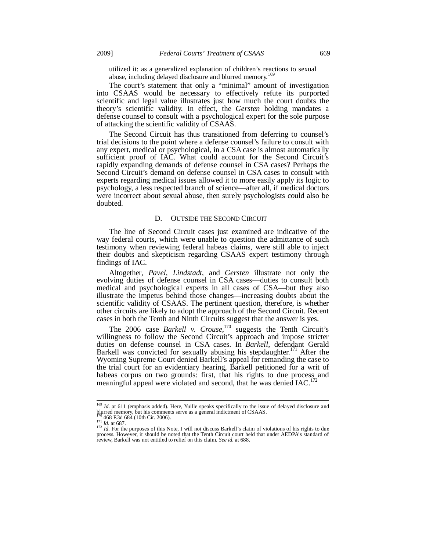utilized it: as a generalized explanation of children's reactions to sexual abuse, including delayed disclosure and blurred memory.<sup>169</sup>

The court's statement that only a "minimal" amount of investigation into CSAAS would be necessary to effectively refute its purported scientific and legal value illustrates just how much the court doubts the theory's scientific validity. In effect, the *Gersten* holding mandates a defense counsel to consult with a psychological expert for the sole purpose of attacking the scientific validity of CSAAS.

The Second Circuit has thus transitioned from deferring to counsel's trial decisions to the point where a defense counsel's failure to consult with any expert, medical or psychological, in a CSA case is almost automatically sufficient proof of IAC. What could account for the Second Circuit's rapidly expanding demands of defense counsel in CSA cases? Perhaps the Second Circuit's demand on defense counsel in CSA cases to consult with experts regarding medical issues allowed it to more easily apply its logic to psychology, a less respected branch of science—after all, if medical doctors were incorrect about sexual abuse, then surely psychologists could also be doubted.

#### D. OUTSIDE THE SECOND CIRCUIT

The line of Second Circuit cases just examined are indicative of the way federal courts, which were unable to question the admittance of such testimony when reviewing federal habeas claims, were still able to inject their doubts and skepticism regarding CSAAS expert testimony through findings of IAC.

Altogether, *Pavel*, *Lindstadt*, and *Gersten* illustrate not only the evolving duties of defense counsel in CSA cases—duties to consult both medical and psychological experts in all cases of CSA—but they also illustrate the impetus behind those changes—increasing doubts about the scientific validity of CSAAS. The pertinent question, therefore, is whether other circuits are likely to adopt the approach of the Second Circuit. Recent cases in both the Tenth and Ninth Circuits suggest that the answer is yes.

The 2006 case *Barkell v. Crouse*, 170 suggests the Tenth Circuit's willingness to follow the Second Circuit's approach and impose stricter duties on defense counsel in CSA cases. In *Barkell*, defendant Gerald Barkell was convicted for sexually abusing his stepdaughter.<sup>171</sup> After the Wyoming Supreme Court denied Barkell's appeal for remanding the case to the trial court for an evidentiary hearing, Barkell petitioned for a writ of habeas corpus on two grounds: first, that his rights to due process and meaningful appeal were violated and second, that he was denied IAC.<sup>1</sup>

<sup>&</sup>lt;sup>169</sup> *Id.* at 611 (emphasis added). Here, Yuille speaks specifically to the issue of delayed disclosure and blurred memory, but his comments serve as a general indictment of CSAAS.<br><sup>170</sup> 468 F.3d 684 (10th Cir. 2006).

<sup>&</sup>lt;sup>171</sup> *Id.* at 687. <sup>171</sup> *Id.* at 687. <sup>172</sup> *Id.* For the purposes of this Note, I will not discuss Barkell's claim of violations of his rights to due process. However, it should be noted that the Tenth Circuit court held that under AEDPA's standard of review, Barkell was not entitled to relief on this claim. *See id.* at 688.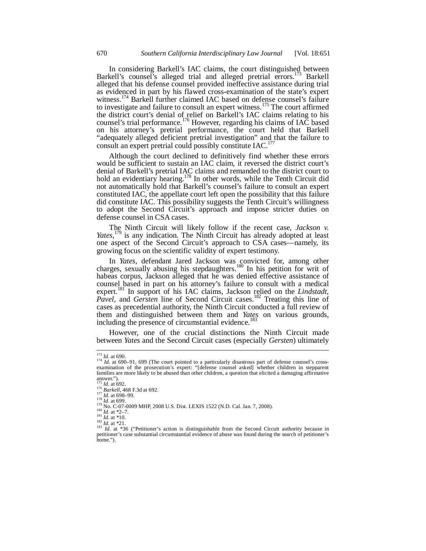In considering Barkell's IAC claims, the court distinguished between Barkell's counsel's alleged trial and alleged pretrial errors.<sup>173</sup> Barkell alleged that his defense counsel provided ineffective assistance during trial as evidenced in part by his flawed cross-examination of the state's expert witness.<sup>174</sup> Barkell further claimed IAC based on defense counsel's failure to investigate and failure to consult an expert witness.<sup>175</sup> The court affirmed the district court's denial of relief on Barkell's IAC claims relating to his counsel's trial performance.<sup>176</sup> However, regarding his claims of IAC based on his attorney's pretrial performance, the court held that Barkell "adequately alleged deficient pretrial investigation" and that the failure to consult an expert pretrial could possibly constitute IAC.<sup>17</sup>

Although the court declined to definitively find whether these errors would be sufficient to sustain an IAC claim, it reversed the district court's denial of Barkell's pretrial IAC claims and remanded to the district court to hold an evidentiary hearing.<sup>178</sup> In other words, while the Tenth Circuit did not automatically hold that Barkell's counsel's failure to consult an expert constituted IAC, the appellate court left open the possibility that this failure did constitute IAC. This possibility suggests the Tenth Circuit's willingness to adopt the Second Circuit's approach and impose stricter duties on defense counsel in CSA cases.

The Ninth Circuit will likely follow if the recent case, *Jackson v.*  Yates,<sup>179</sup> is any indication. The Ninth Circuit has already adopted at least one aspect of the Second Circuit's approach to CSA cases—namely, its growing focus on the scientific validity of expert testimony.

In *Yates*, defendant Jared Jackson was convicted for, among other charges, sexually abusing his stepdaughters.<sup>180</sup> In his petition for writ of habeas corpus, Jackson alleged that he was denied effective assistance of counsel based in part on his attorney's failure to consult with a medical expert.<sup>181</sup> In support of his IAC claims, Jackson relied on the *Lindstadt*, *Pavel, and Gersten* line of Second Circuit cases.<sup>182</sup> Treating this line of cases as precedential authority, the Ninth Circuit conducted a full review of them and distinguished between them and *Yates* on various grounds, including the presence of circumstantial evidence.<sup>183</sup>

However, one of the crucial distinctions the Ninth Circuit made between *Yates* and the Second Circuit cases (especially *Gersten*) ultimately

<sup>&</sup>lt;sup>173</sup> *Id.* at 690.<br><sup>174</sup> *Id.* at 690–91, 699 (The court pointed to a particularly disastrous part of defense counsel's cross-<br>examination of the prosecution's expert: "[defense counsel asked] whether children in steppare families are more likely to be abused than other children, a question that elicited a damaging affirmative answer.").<br>  $^{175}$  *Id.* at 692.<br>
<sup>175</sup> *Id.* at 692.<br>
<sup>176</sup> *Barkell*, 468 F.3d at 692.<br>
<sup>177</sup> *Id.* at 698–99.

<sup>&</sup>lt;sup>179</sup> No. C-07-0009 MHP, 2008 U.S. Dist. LEXIS 1522 (N.D. Cal. Jan. 7, 2008).<br><sup>179</sup> No. C-07-0009 MHP, 2008 U.S. Dist. LEXIS 1522 (N.D. Cal. Jan. 7, 2008).<br><sup>181</sup> Id. at \*2-7.<br><sup>181</sup> Id. at \*10.<br><sup>182</sup> Id. at \*21.<br><sup>182</sup> Id. petitioner's case substantial circumstantial evidence of abuse was found during the search of petitioner's home.").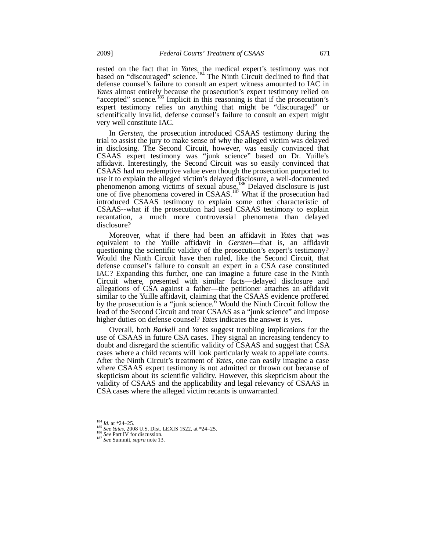rested on the fact that in *Yates*, the medical expert's testimony was not based on "discouraged" science.<sup>184</sup> The Ninth Circuit declined to find that defense counsel's failure to consult an expert witness amounted to IAC in *Yates* almost entirely because the prosecution's expert testimony relied on "accepted" science.<sup>185</sup> Implicit in this reasoning is that if the prosecution's expert testimony relies on anything that might be "discouraged" or scientifically invalid, defense counsel's failure to consult an expert might very well constitute IAC.

In *Gersten*, the prosecution introduced CSAAS testimony during the trial to assist the jury to make sense of why the alleged victim was delayed in disclosing. The Second Circuit, however, was easily convinced that CSAAS expert testimony was "junk science" based on Dr. Yuille's affidavit. Interestingly, the Second Circuit was so easily convinced that CSAAS had no redemptive value even though the prosecution purported to use it to explain the alleged victim's delayed disclosure, a well-documented phenomenon among victims of sexual abuse.<sup>186</sup> Delayed disclosure is just one of five phenomena covered in CSAAS.<sup>187</sup> What if the prosecution had introduced CSAAS testimony to explain some other characteristic of CSAAS--what if the prosecution had used CSAAS testimony to explain recantation, a much more controversial phenomena than delayed disclosure?

Moreover, what if there had been an affidavit in *Yates* that was equivalent to the Yuille affidavit in *Gersten*—that is, an affidavit questioning the scientific validity of the prosecution's expert's testimony? Would the Ninth Circuit have then ruled, like the Second Circuit, that defense counsel's failure to consult an expert in a CSA case constituted IAC? Expanding this further, one can imagine a future case in the Ninth Circuit where, presented with similar facts—delayed disclosure and allegations of CSA against a father—the petitioner attaches an affidavit similar to the Yuille affidavit, claiming that the CSAAS evidence proffered by the prosecution is a "junk science." Would the Ninth Circuit follow the lead of the Second Circuit and treat CSAAS as a "junk science" and impose higher duties on defense counsel? *Yates* indicates the answer is yes.

Overall, both *Barkell* and *Yates* suggest troubling implications for the use of CSAAS in future CSA cases. They signal an increasing tendency to doubt and disregard the scientific validity of CSAAS and suggest that CSA cases where a child recants will look particularly weak to appellate courts. After the Ninth Circuit's treatment of *Yates*, one can easily imagine a case where CSAAS expert testimony is not admitted or thrown out because of skepticism about its scientific validity. However, this skepticism about the validity of CSAAS and the applicability and legal relevancy of CSAAS in CSA cases where the alleged victim recants is unwarranted.

 $184$  *Id.* at \*24-25.

<sup>184</sup> *Id.* at \*24–25. 185 *See Yates*, 2008 U.S. Dist. LEXIS 1522, at \*24–25. 186 *See* Part IV for discussion. 187 *See* Summit, *supra* note 13.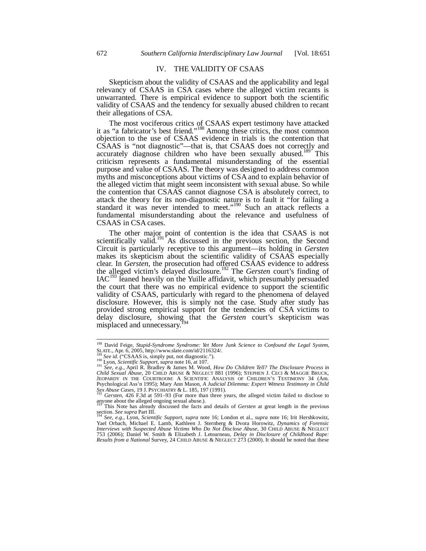# IV. THE VALIDITY OF CSAAS

Skepticism about the validity of CSAAS and the applicability and legal relevancy of CSAAS in CSA cases where the alleged victim recants is unwarranted. There is empirical evidence to support both the scientific validity of CSAAS and the tendency for sexually abused children to recant their allegations of CSA.

The most vociferous critics of CSAAS expert testimony have attacked it as "a fabricator's best friend."<sup>188</sup> Among these critics, the most common objection to the use of CSAAS evidence in trials is the contention that CSAAS is "not diagnostic"—that is, that CSAAS does not correctly and accurately diagnose children who have been sexually abused.<sup>189</sup> This criticism represents a fundamental misunderstanding of the essential purpose and value of CSAAS. The theory was designed to address common myths and misconceptions about victims of CSA and to explain behavior of the alleged victim that might seem inconsistent with sexual abuse. So while the contention that CSAAS cannot diagnose CSA is absolutely correct, to attack the theory for its non-diagnostic nature is to fault it "for failing a standard it was never intended to meet."<sup>190</sup> Such an attack reflects a fundamental misunderstanding about the relevance and usefulness of CSAAS in CSA cases.

The other major point of contention is the idea that CSAAS is not scientifically valid.<sup>191</sup> As discussed in the previous section, the Second Circuit is particularly receptive to this argument—its holding in *Gersten* makes its skepticism about the scientific validity of CSAAS especially clear. In *Gersten*, the prosecution had offered CSAAS evidence to address the alleged victim's delayed disclosure.192 The *Gersten* court's finding of  $IAC<sup>193</sup>$  leaned heavily on the Yuille affidavit, which presumably persuaded the court that there was no empirical evidence to support the scientific validity of CSAAS, particularly with regard to the phenomena of delayed disclosure. However, this is simply not the case. Study after study has provided strong empirical support for the tendencies of CSA victims to delay disclosure, showing that the *Gersten* court's skepticism was misplaced and unnecessary.<sup>1</sup>

<sup>188</sup> David Feige, *Stupid-Syndrome Syndrome: Yet More Junk Science to Confound the Legal System*, SLATE., Apr. 6, 2005, http://www.slate.com/id/2116324/.<br>
<sup>189</sup> See id. ("CSAAS is, simply put, not diagnostic.").<br>
<sup>190</sup> Lyon, *Scientific Support*, *supra* note 16, at 107.<br>
<sup>191</sup> See, e.g., April R. Bradley & James M. Wo

*Child Sexual Abuse*, 20 CHILD ABUSE & NEGLECT 881 (1996); STEPHEN J. CECI & MAGGIE BRUCK, JEOPARDY IN THE COURTROOM: A SCIENTIFIC ANALYSIS OF CHILDREN'S TESTIMONY 34 (Am. Psychological Ass'n 1995); Mary Ann Mason, *A Judicial Dilemma: Expert Witness Testimony in Child Sex Abuse Cases*, 19 J. PSYCHIATRY & L. 185, 197 (1991). 192 *Gersten*, 426 F.3d at 591–93 (For more than three years, the alleged victim failed to disclose to

anyone about the alleged ongoing sexual abuse.).

<sup>193</sup> This Note has already discussed the facts and details of *Gersten* at great length in the previous section. *See supra* Part III. 194 *See, e.g.*, Lyon, *Scientific Support, supra* note 16; London et al., *supra* note 16; Irit Hershkowitz,

Yael Orbach, Michael E. Lamb, Kathleen J. Sternberg & Dvora Horowitz, *Dynamics of Forensic Interviews with Suspected Abuse Victims Who Do Not Disclose Abuse*, 30 CHILD ABUSE & NEGLECT 753 (2006); Daniel W. Smith & Elizabeth J. Letourneau, *Delay in Disclosure of Childhood Rape: Results from a National* Survey, 24 CHILD ABUSE & NEGLECT 273 (2000). It should be noted that these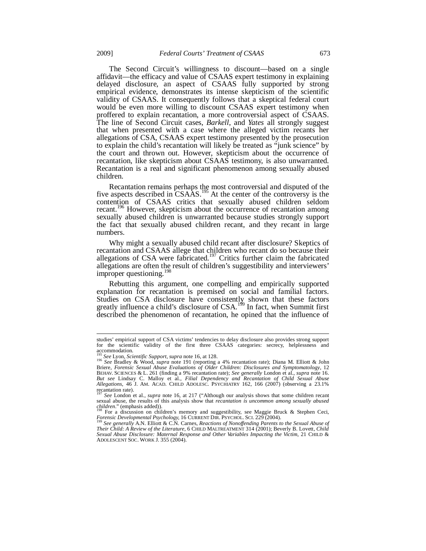The Second Circuit's willingness to discount—based on a single affidavit—the efficacy and value of CSAAS expert testimony in explaining delayed disclosure, an aspect of CSAAS fully supported by strong empirical evidence, demonstrates its intense skepticism of the scientific validity of CSAAS. It consequently follows that a skeptical federal court would be even more willing to discount CSAAS expert testimony when proffered to explain recantation, a more controversial aspect of CSAAS. The line of Second Circuit cases, *Barkell*, and *Yates* all strongly suggest that when presented with a case where the alleged victim recants her allegations of CSA, CSAAS expert testimony presented by the prosecution to explain the child's recantation will likely be treated as "junk science" by the court and thrown out. However, skepticism about the occurrence of recantation, like skepticism about CSAAS testimony, is also unwarranted. Recantation is a real and significant phenomenon among sexually abused children.

Recantation remains perhaps the most controversial and disputed of the five aspects described in  $\text{CSA}\text{AS}$ .<sup>195</sup> At the center of the controversy is the contention of CSAAS critics that sexually abused children seldom recant.196 However, skepticism about the occurrence of recantation among sexually abused children is unwarranted because studies strongly support the fact that sexually abused children recant, and they recant in large numbers.

Why might a sexually abused child recant after disclosure? Skeptics of recantation and CSAAS allege that children who recant do so because their allegations of CSA were fabricated.<sup>197</sup> Critics further claim the fabricated allegations are often the result of children's suggestibility and interviewers' improper questioning.<sup>198</sup>

Rebutting this argument, one compelling and empirically supported explanation for recantation is premised on social and familial factors. Studies on CSA disclosure have consistently shown that these factors greatly influence a child's disclosure of CSA.<sup>199</sup> In fact, when Summit first described the phenomenon of recantation, he opined that the influence of

-

studies' empirical support of CSA victims' tendencies to delay disclosure also provides strong support for the scientific validity of the first three CSAAS categories: secrecy, helplessness accommodation.

<sup>&</sup>lt;sup>195</sup> *See* Lyon, *Scientific Support*, *supra* note 16, at 128.<br><sup>196</sup> *See* Bradley & Wood, *supra* note 191 (reporting a 4% recantation rate); Diana M. Elliott & John Briere, *Forensic Sexual Abuse Evaluations of Older Children: Disclosures and Symptomatology*, 12 BEHAV. SCIENCES & L. 261 (finding a 9% recantation rate); *See generally* London et al., *supra* note 16. *But see* Lindsay C. Malloy et al., *Filial Dependency and Recantation of Child Sexual Abuse Allegations*, 46 J. AM. ACAD. CHILD ADOLESC. PSYCHIATRY 162, 166 (2007) (observing a 23.1% recantation rate).

See London et al., *supra* note 16, at 217 ("Although our analysis shows that some children recant sexual abuse, the results of this analysis show that *recantation is uncommon among sexually abused*  $\frac{logildren."$  (emphasis added)). *children."* (emphasis added)).<br><sup>198</sup> For a discussion on children's memory and suggestibility, see Maggie Bruck & Stephen Ceci,

*Forensic Developmental Psychology,* <sup>16</sup> CURRENT DIR. PSYCHOL. SCI. <sup>229</sup> (2004). 199 *See generally* A.N. Elliott & C.N. Carnes, *Reactions of Nonoffending Parents to the Sexual Abuse of* 

*Their Child: A Review of the Literature*, 6 CHILD MALTREATMENT 314 (2001); Beverly B. Lovett, *Child Sexual Abuse Disclosure: Maternal Response and Other Variables Impacting the Victim*, 21 CHILD & ADOLESCENT SOC. WORK J. 355 (2004).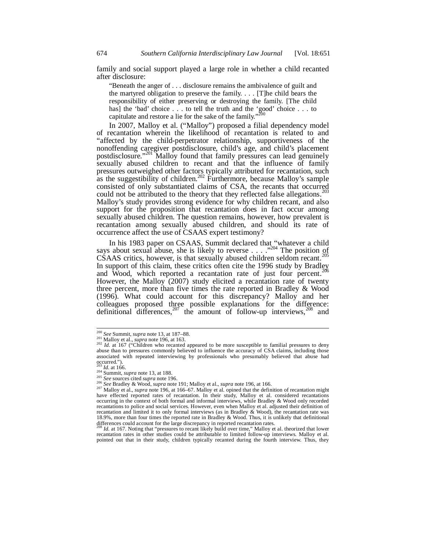family and social support played a large role in whether a child recanted after disclosure:

"Beneath the anger of . . . disclosure remains the ambivalence of guilt and the martyred obligation to preserve the family. . . . [T]he child bears the responsibility of either preserving or destroying the family. [The child has] the 'bad' choice . . . to tell the truth and the 'good' choice . . . to capitulate and restore a lie for the sake of the family."<sup>200</sup>

In 2007, Malloy et al. ("Malloy") proposed a filial dependency model of recantation wherein the likelihood of recantation is related to and "affected by the child-perpetrator relationship, supportiveness of the nonoffending caregiver postdisclosure, child's age, and child's placement postdisclosure."<sup>201</sup> Malloy found that family pressures can lead genuinely sexually abused children to recant and that the influence of family pressures outweighed other factors typically attributed for recantation, such as the suggestibility of children.<sup>202</sup> Furthermore, because Malloy's sample consisted of only substantiated claims of CSA, the recants that occurred could not be attributed to the theory that they reflected false allegations.<sup>203</sup> Malloy's study provides strong evidence for why children recant, and also support for the proposition that recantation does in fact occur among sexually abused children. The question remains, however, how prevalent is recantation among sexually abused children, and should its rate of occurrence affect the use of CSAAS expert testimony?

In his 1983 paper on CSAAS, Summit declared that "whatever a child" says about sexual abuse, she is likely to reverse . . . ."204 The position of CSAAS critics, however, is that sexually abused children seldom recant.<sup>2</sup> In support of this claim, these critics often cite the 1996 study by Bradley and Wood, which reported a recantation rate of just four percent.<sup>206</sup> However, the Malloy (2007) study elicited a recantation rate of twenty three percent, more than five times the rate reported in Bradley & Wood (1996). What could account for this discrepancy? Malloy and her colleagues proposed three possible explanations for the difference: definitional differences,  $207$  the amount of follow-up interviews,  $208$  and

recantation rates in other studies could be attributable to limited follow-up interviews. Malloy et al. pointed out that in their study, children typically recanted during the fourth interview. Thus, they

 $200$  See Summit, supra note 13, at 187-88.

<sup>&</sup>lt;sup>201</sup> Malloy et al., *supra* note 196, at 163.<br><sup>202</sup> *Id.* at 167 ("Children who recanted appeared to be more susceptible to familial pressures to deny abuse than to pressures commonly believed to influence the accuracy of CSA claims, including those associated with repeated interviewing by professionals who presumably believed that abuse had occurred.").<br> $^{203}$  *Id.* at 166.

<sup>&</sup>lt;sup>203</sup> *Id.* at 166.<br><sup>204</sup> Summit, *supra* note 13, at 188.<br><sup>205</sup> *See* Bradley & Wood, *supra* note 191; Malloy et al., *supra* note 196, at 166.<br><sup>206</sup> *See* Bradley & Wood, *supra* note 191; Malloy et al., *supra* note 19 occurring in the context of both formal and informal interviews, while Bradley & Wood only recorded recantations to police and social services. However, even when Malloy et al. adjusted their definition of<br>recantation and limited it to only formal interviews (as in Bradley & Wood), the recantation rate was<br>18.9%, more th differences could account for the large discrepancy in reported recantation rates. <sup>208</sup> *Id.* at 167. Noting that "pressures to recant likely build over time," Malloy et al. theorized that lower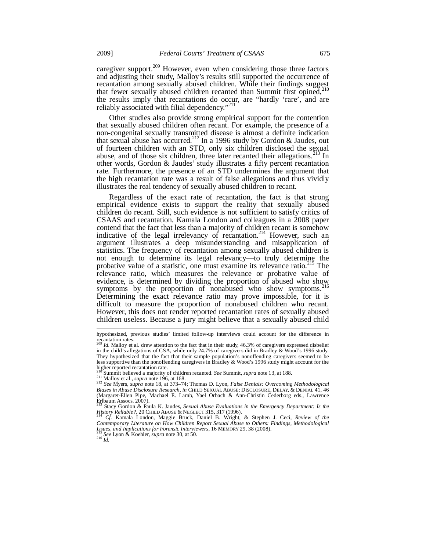caregiver support.<sup>209</sup> However, even when considering those three factors and adjusting their study, Malloy's results still supported the occurrence of recantation among sexually abused children. While their findings suggest that fewer sexually abused children recanted than Summit first opined,<sup>210</sup> the results imply that recantations do occur, are "hardly 'rare', and are reliably associated with filial dependency."<sup>211</sup>

Other studies also provide strong empirical support for the contention that sexually abused children often recant. For example, the presence of a non-congenital sexually transmitted disease is almost a definite indication that sexual abuse has occurred.<sup>212</sup> In a 1996 study by Gordon & Jaudes, out of fourteen children with an STD, only six children disclosed the sexual abuse, and of those six children, three later recanted their allegations.<sup>213</sup> In other words, Gordon & Jaudes' study illustrates a fifty percent recantation rate. Furthermore, the presence of an STD undermines the argument that the high recantation rate was a result of false allegations and thus vividly illustrates the real tendency of sexually abused children to recant.

Regardless of the exact rate of recantation, the fact is that strong empirical evidence exists to support the reality that sexually abused children do recant. Still, such evidence is not sufficient to satisfy critics of CSAAS and recantation. Kamala London and colleagues in a 2008 paper contend that the fact that less than a majority of children recant is somehow indicative of the legal irrelevancy of recantation.<sup>214</sup> However, such an argument illustrates a deep misunderstanding and misapplication of statistics. The frequency of recantation among sexually abused children is not enough to determine its legal relevancy—to truly determine the probative value of a statistic, one must examine its relevance ratio.<sup>215</sup> The relevance ratio, which measures the relevance or probative value of evidence, is determined by dividing the proportion of abused who show symptoms by the proportion of nonabused who show symptoms. $2$ Determining the exact relevance ratio may prove impossible, for it is difficult to measure the proportion of nonabused children who recant. However, this does not render reported recantation rates of sexually abused children useless. Because a jury might believe that a sexually abused child

<sup>214</sup> *Cf.* Kamala London, Maggie Bruck, Daniel B. Wright, & Stephen J. Ceci, Review of the Contemporary Literature on How Children Report Sexual Abuse to Others: Findings, Methodological *Issues, and Implications for Forensic Interviewers*, 16 MEMORY 29, 38 (2008). <sup>216</sup> *Id. Id. Lating See* Lyon & Koehler, *supra* note 30, at 50.

-

hypothesized, previous studies' limited follow-up interviews could account for the difference in recantation rates.

Id. Malloy et al. drew attention to the fact that in their study, 46.3% of caregivers expressed disbelief in the child's allegations of CSA, while only 24.7% of caregivers did in Bradley & Wood's 1996 study. They hypothesized that the fact that their sample population's nonoffending caregivers seemed to be less supportive than the nonoffending caregivers in Bradley & Wood's 1996 study might account for the higher reported recantation rate.<br><sup>210</sup> Summit believed a majority of children recanted. See Summit, supra note 13, at 188.

 $^{211}_{212}$  Malloy et al., *supra* note 196, at 168.<br><sup>211</sup> Malloy et al., *supra* note 196, at 168.<br><sup>212</sup> See Myers, *supra* note 18, at 373–74; Thomas D. Lyon, *False Denials: Overcoming Methodological Biases in Abuse Disclosure Research*, *in* CHILD SEXUAL ABUSE: DISCLOSURE, DELAY, & DENIAL 41, 46 (Margaret-Ellen Pipe, Machael E. Lamb, Yael Orbach & Ann-Christin Cederborg eds., Lawrence Erlbaum Assocs.  $2007$ ).

<sup>213</sup> Stacy Gordon & Paula K. Jaudes, *Sexual Abuse Evaluations in the Emergency Department: Is the History Reliable?*, 20 CHILD ABUSE & NEGLECT 315, <sup>317</sup> (1996). 214 *Cf.* Kamala London, Maggie Bruck, Daniel B. Wright, & Stephen J. Ceci, *Review of the*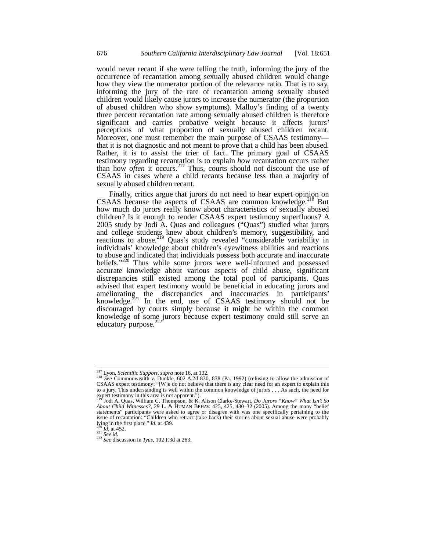would never recant if she were telling the truth, informing the jury of the occurrence of recantation among sexually abused children would change how they view the numerator portion of the relevance ratio. That is to say, informing the jury of the rate of recantation among sexually abused children would likely cause jurors to increase the numerator (the proportion of abused children who show symptoms). Malloy's finding of a twenty three percent recantation rate among sexually abused children is therefore significant and carries probative weight because it affects jurors' perceptions of what proportion of sexually abused children recant. Moreover, one must remember the main purpose of CSAAS testimony that it is not diagnostic and not meant to prove that a child has been abused. Rather, it is to assist the trier of fact. The primary goal of CSAAS testimony regarding recantation is to explain *how* recantation occurs rather than how *often* it occurs.217 Thus, courts should not discount the use of CSAAS in cases where a child recants because less than a majority of sexually abused children recant.

Finally, critics argue that jurors do not need to hear expert opinion on CSAAS because the aspects of CSAAS are common knowledge.<sup>218</sup> But how much do jurors really know about characteristics of sexually abused children? Is it enough to render CSAAS expert testimony superfluous? A 2005 study by Jodi A. Quas and colleagues ("Quas") studied what jurors and college students knew about children's memory, suggestibility, and reactions to abuse.<sup>219</sup> Quas's study revealed "considerable variability in individuals' knowledge about children's eyewitness abilities and reactions to abuse and indicated that individuals possess both accurate and inaccurate beliefs."<sup>220</sup> Thus while some jurors were well-informed and possessed accurate knowledge about various aspects of child abuse, significant discrepancies still existed among the total pool of participants. Quas advised that expert testimony would be beneficial in educating jurors and ameliorating the discrepancies and inaccuracies in participants' knowledge. $221$  In the end, use of CSAAS testimony should not be discouraged by courts simply because it might be within the common knowledge of some jurors because expert testimony could still serve an educatory purpose. $^{2}$ 

 $\overline{a}$ 

<sup>&</sup>lt;sup>217</sup> Lyon, *Scientific Support, supra* note 16, at 132.<br><sup>218</sup> See Commonwealth v. Dunkle, 602 A.2d 830, 838 (Pa. 1992) (refusing to allow the admission of CSAAS expert testimony: "[W]e do not believe that there is any cle to a jury. This understanding is well within the common knowledge of jurors . . . As such, the need for expert testimony in this area is not apparent.").<br><sup>219</sup> Jodi A. Quas, William C. Thompson, & K. Alison Clarke-Stewart,

*About Child Witnesses?*, 29 L. & HUMAN BEHAV. 425, 425, 430–32 (2005). Among the many "belief statements" participants were asked to agree or disagree with was one specifically pertaining to the issue of recantation: "Children who retract (take back) their stories about sexual abuse were probably  $\frac{1}{20}$  in the first place." *Id.* at 439.

lying in the first place." *Id.* at 439. 220 *Id.* at 452. 221 *See id.* <sup>222</sup> *See* discussion in *Tyus*, 102 F.3d at 263.